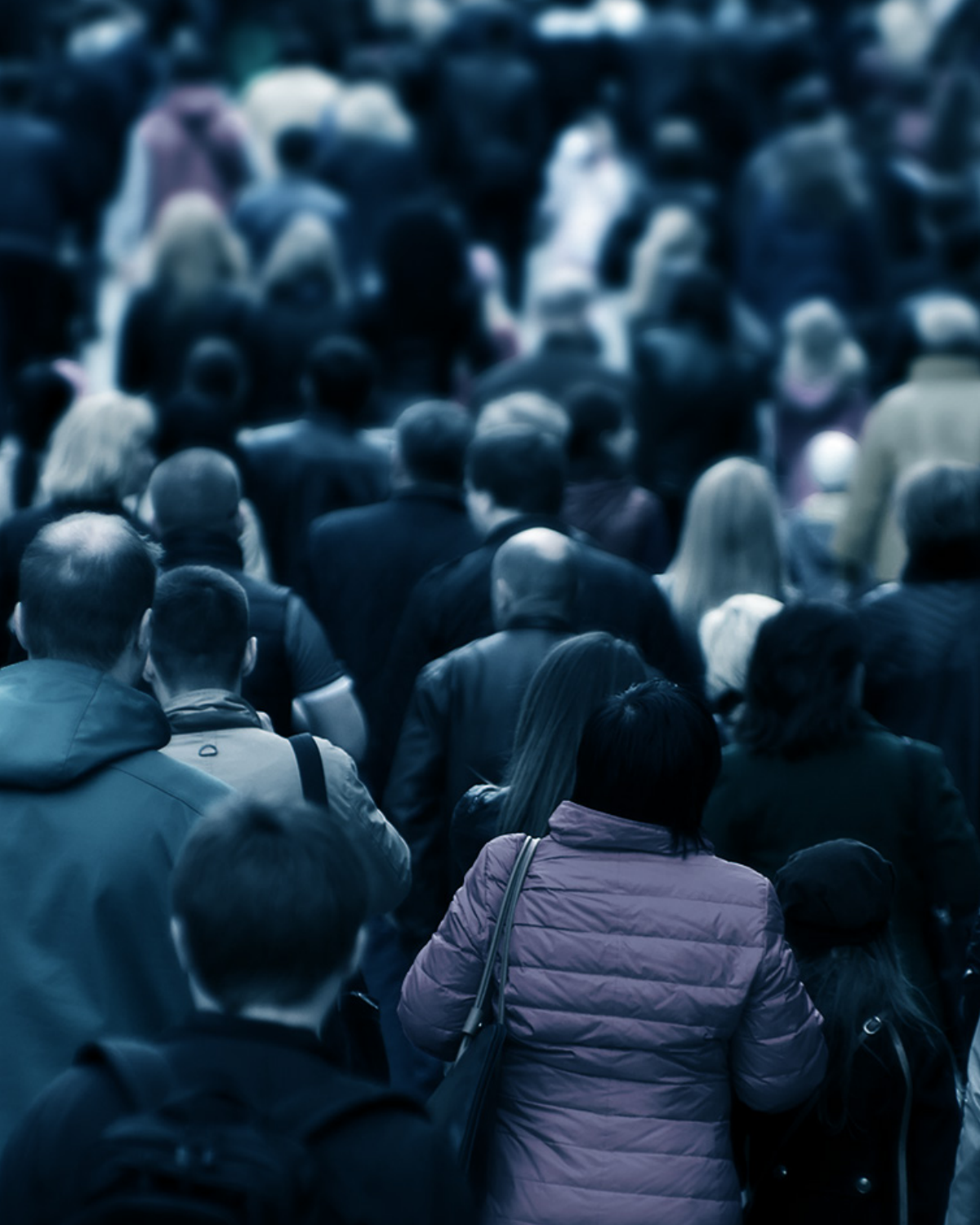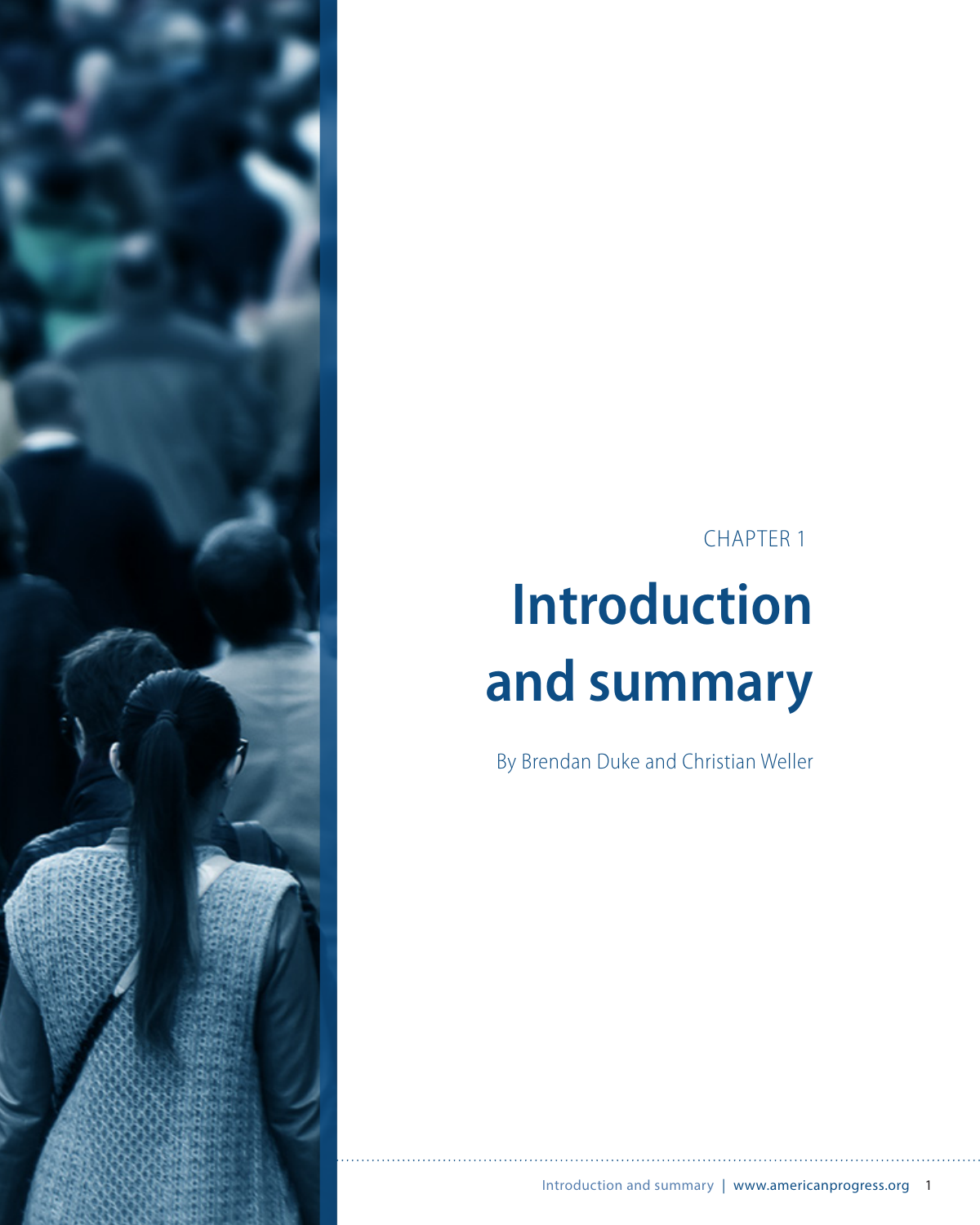# CHAPTER 1 **Introduction and summary**

By Brendan Duke and Christian Weller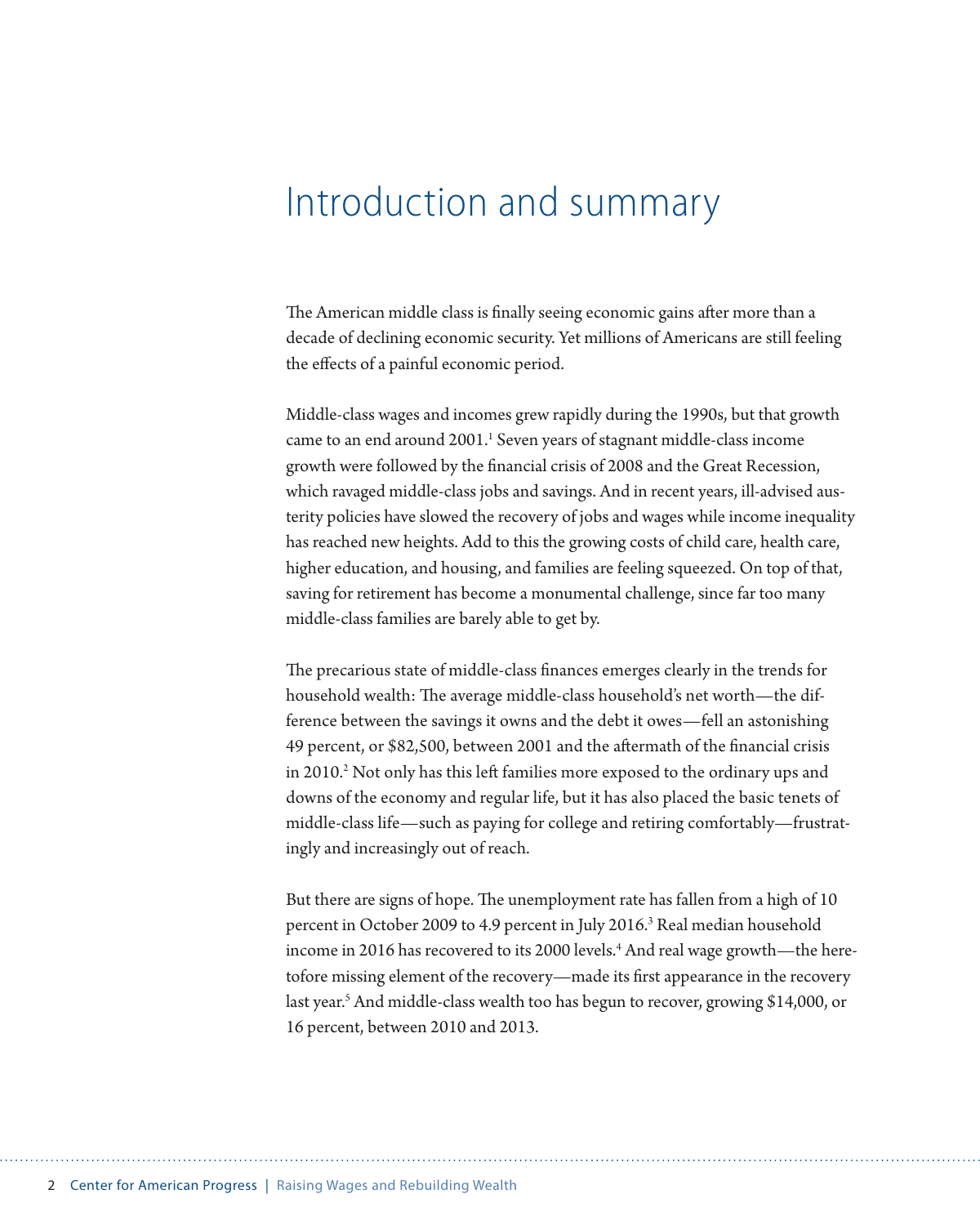### Introduction and summary

The American middle class is finally seeing economic gains after more than a decade of declining economic security. Yet millions of Americans are still feeling the effects of a painful economic period.

Middle-class wages and incomes grew rapidly during the 1990s, but that growth came to an end around 2001.<sup>1</sup> Seven years of stagnant middle-class income growth were followed by the financial crisis of 2008 and the Great Recession, which ravaged middle-class jobs and savings. And in recent years, ill-advised austerity policies have slowed the recovery of jobs and wages while income inequality has reached new heights. Add to this the growing costs of child care, health care, higher education, and housing, and families are feeling squeezed. On top of that, saving for retirement has become a monumental challenge, since far too many middle-class families are barely able to get by.

The precarious state of middle-class finances emerges clearly in the trends for household wealth: The average middle-class household's net worth—the difference between the savings it owns and the debt it owes—fell an astonishing 49 percent, or \$82,500, between 2001 and the aftermath of the financial crisis in 2010.<sup>2</sup> Not only has this left families more exposed to the ordinary ups and downs of the economy and regular life, but it has also placed the basic tenets of middle-class life—such as paying for college and retiring comfortably—frustratingly and increasingly out of reach.

But there are signs of hope. The unemployment rate has fallen from a high of 10 percent in October 2009 to 4.9 percent in July 2016.<sup>3</sup> Real median household income in 2016 has recovered to its 2000 levels.<sup>4</sup> And real wage growth—the heretofore missing element of the recovery—made its first appearance in the recovery last year.<sup>5</sup> And middle-class wealth too has begun to recover, growing \$14,000, or 16 percent, between 2010 and 2013.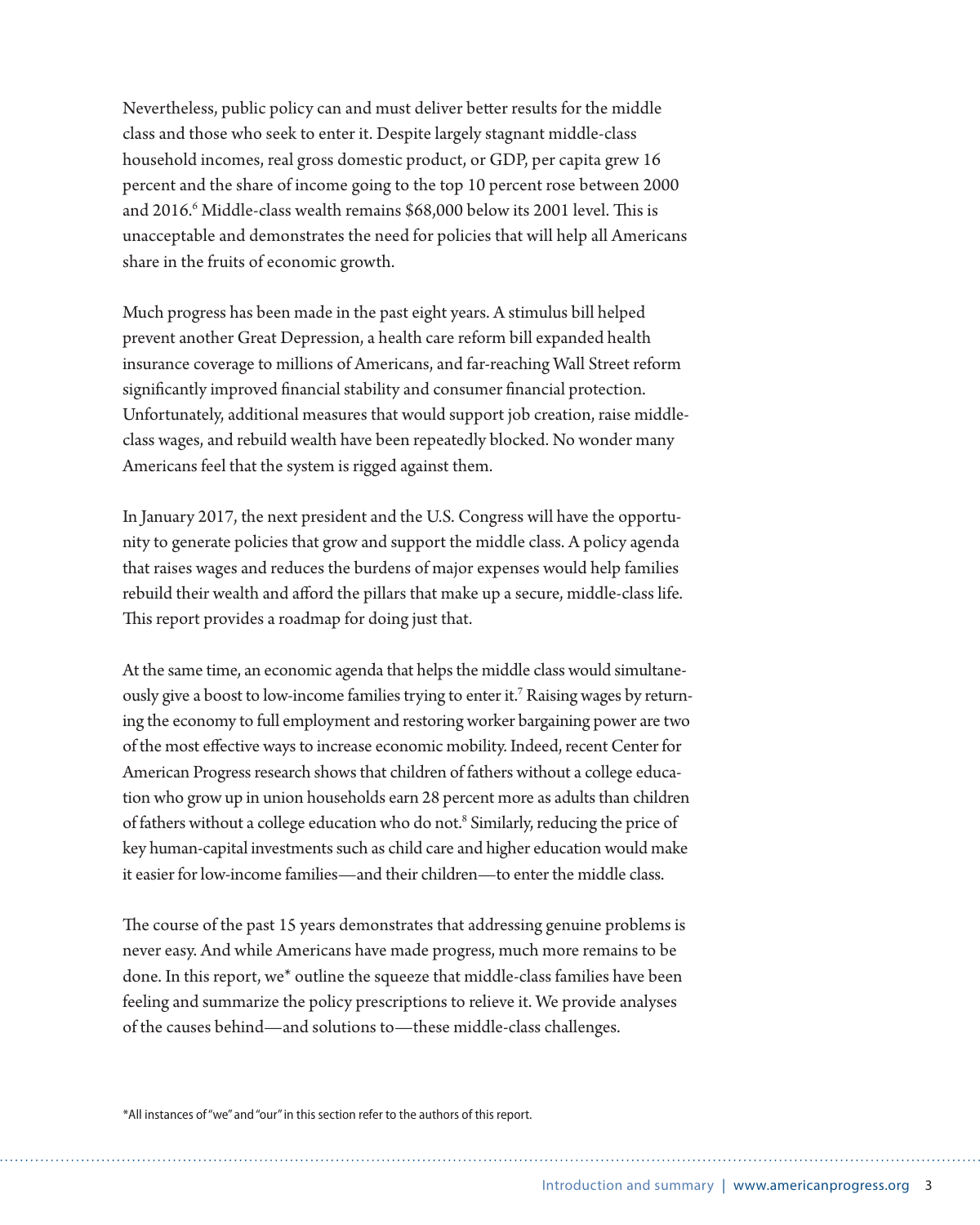Nevertheless, public policy can and must deliver better results for the middle class and those who seek to enter it. Despite largely stagnant middle-class household incomes, real gross domestic product, or GDP, per capita grew 16 percent and the share of income going to the top 10 percent rose between 2000 and 2016.<sup>6</sup> Middle-class wealth remains \$68,000 below its 2001 level. This is unacceptable and demonstrates the need for policies that will help all Americans share in the fruits of economic growth.

Much progress has been made in the past eight years. A stimulus bill helped prevent another Great Depression, a health care reform bill expanded health insurance coverage to millions of Americans, and far-reaching Wall Street reform significantly improved financial stability and consumer financial protection. Unfortunately, additional measures that would support job creation, raise middleclass wages, and rebuild wealth have been repeatedly blocked. No wonder many Americans feel that the system is rigged against them.

In January 2017, the next president and the U.S. Congress will have the opportunity to generate policies that grow and support the middle class. A policy agenda that raises wages and reduces the burdens of major expenses would help families rebuild their wealth and afford the pillars that make up a secure, middle-class life. This report provides a roadmap for doing just that.

At the same time, an economic agenda that helps the middle class would simultaneously give a boost to low-income families trying to enter it.7 Raising wages by returning the economy to full employment and restoring worker bargaining power are two of the most effective ways to increase economic mobility. Indeed, recent Center for American Progress research shows that children of fathers without a college education who grow up in union households earn 28 percent more as adults than children of fathers without a college education who do not.<sup>8</sup> Similarly, reducing the price of key human-capital investments such as child care and higher education would make it easier for low-income families—and their children—to enter the middle class.

The course of the past 15 years demonstrates that addressing genuine problems is never easy. And while Americans have made progress, much more remains to be done. In this report, we\* outline the squeeze that middle-class families have been feeling and summarize the policy prescriptions to relieve it. We provide analyses of the causes behind—and solutions to—these middle-class challenges.

\*All instances of "we" and "our" in this section refer to the authors of this report.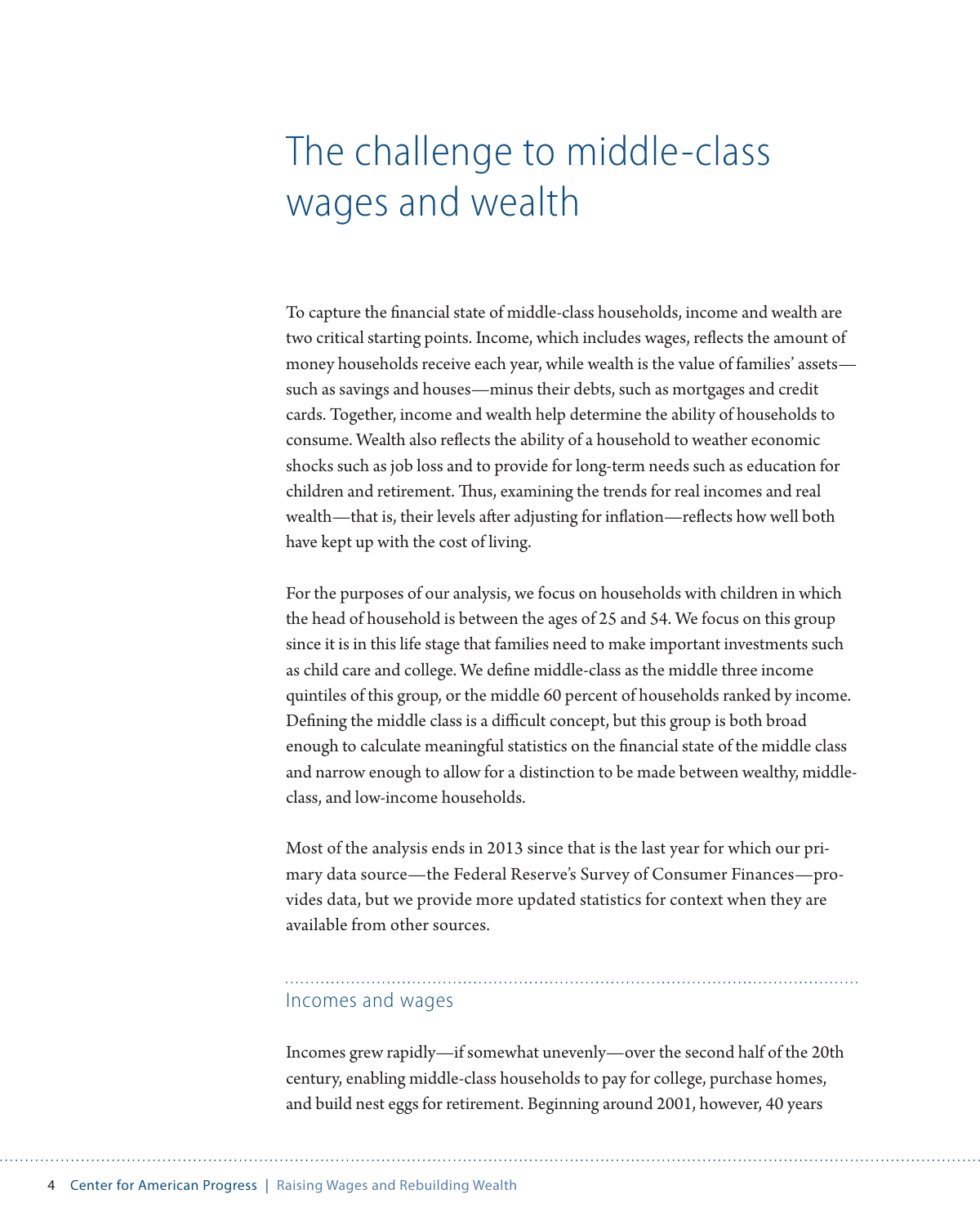# The challenge to middle-class wages and wealth

To capture the financial state of middle-class households, income and wealth are two critical starting points. Income, which includes wages, reflects the amount of money households receive each year, while wealth is the value of families' assets such as savings and houses—minus their debts, such as mortgages and credit cards. Together, income and wealth help determine the ability of households to consume. Wealth also reflects the ability of a household to weather economic shocks such as job loss and to provide for long-term needs such as education for children and retirement. Thus, examining the trends for real incomes and real wealth—that is, their levels after adjusting for inflation—reflects how well both have kept up with the cost of living.

For the purposes of our analysis, we focus on households with children in which the head of household is between the ages of 25 and 54. We focus on this group since it is in this life stage that families need to make important investments such as child care and college. We define middle-class as the middle three income quintiles of this group, or the middle 60 percent of households ranked by income. Defining the middle class is a difficult concept, but this group is both broad enough to calculate meaningful statistics on the financial state of the middle class and narrow enough to allow for a distinction to be made between wealthy, middleclass, and low-income households.

Most of the analysis ends in 2013 since that is the last year for which our primary data source—the Federal Reserve's Survey of Consumer Finances—provides data, but we provide more updated statistics for context when they are available from other sources.

#### Incomes and wages

Incomes grew rapidly—if somewhat unevenly—over the second half of the 20th century, enabling middle-class households to pay for college, purchase homes, and build nest eggs for retirement. Beginning around 2001, however, 40 years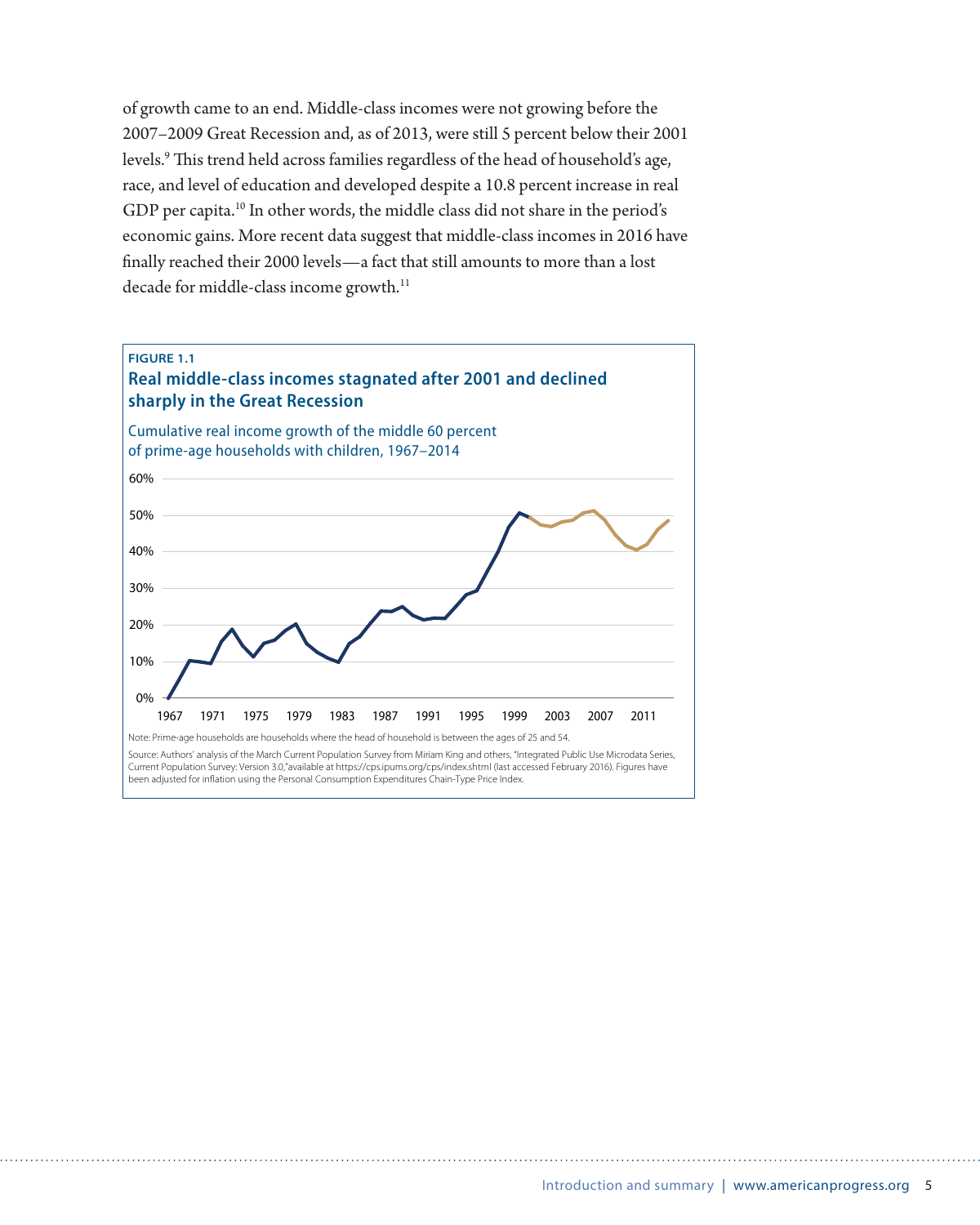of growth came to an end. Middle-class incomes were not growing before the 2007–2009 Great Recession and, as of 2013, were still 5 percent below their 2001 levels.9 This trend held across families regardless of the head of household's age, race, and level of education and developed despite a 10.8 percent increase in real GDP per capita.<sup>10</sup> In other words, the middle class did not share in the period's economic gains. More recent data suggest that middle-class incomes in 2016 have finally reached their 2000 levels—a fact that still amounts to more than a lost decade for middle-class income growth.<sup>11</sup>

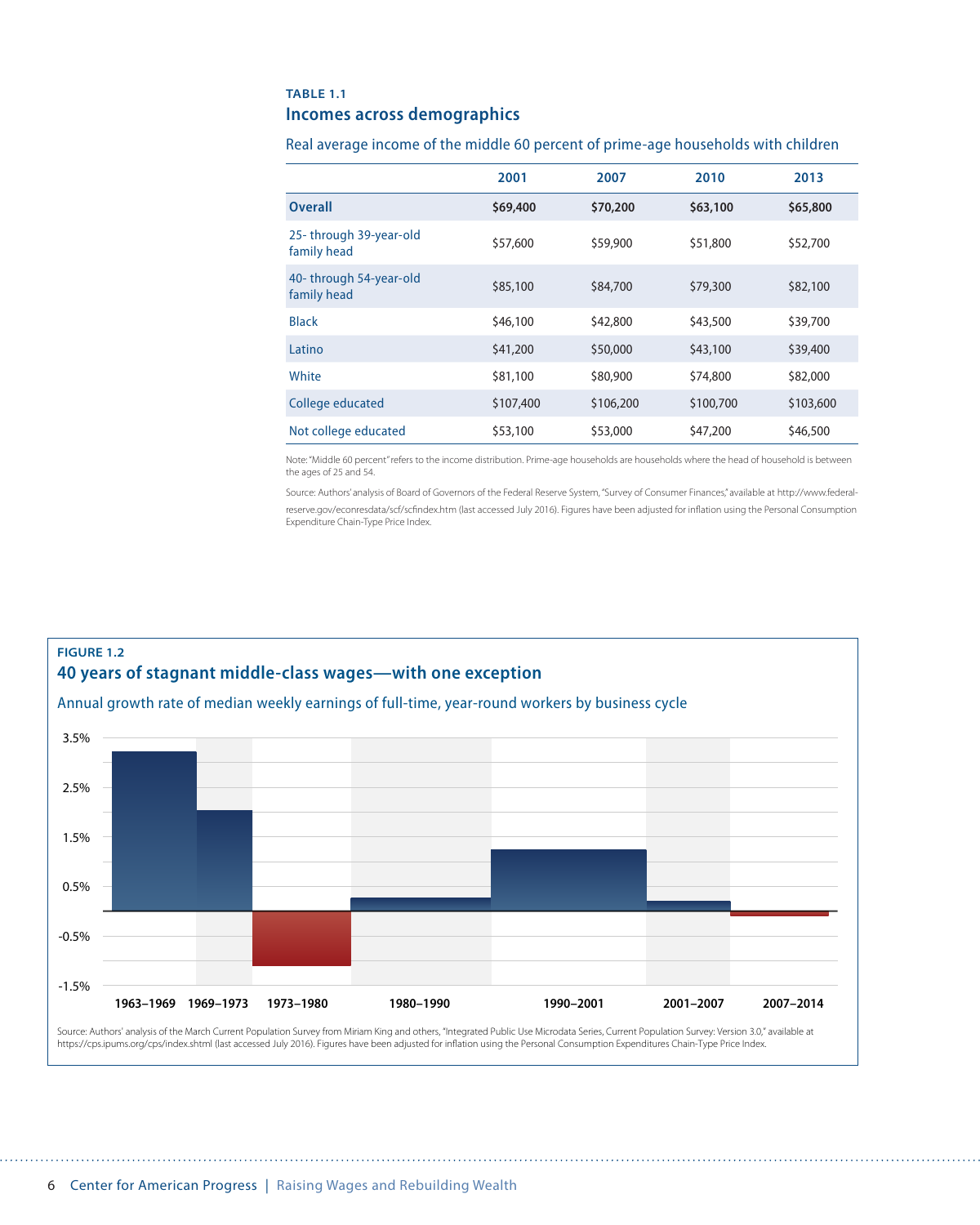#### **TABLE 1.1 Incomes across demographics**

Real average income of the middle 60 percent of prime-age households with children

|                                        | 2001      | 2007      | 2010      | 2013      |
|----------------------------------------|-----------|-----------|-----------|-----------|
| <b>Overall</b>                         | \$69,400  | \$70,200  | \$63,100  | \$65,800  |
| 25-through 39-year-old<br>family head  | \$57,600  | \$59,900  | \$51,800  | \$52,700  |
| 40- through 54-year-old<br>family head | \$85,100  | \$84,700  | \$79,300  | \$82,100  |
| <b>Black</b>                           | \$46,100  | \$42,800  | \$43,500  | \$39,700  |
| Latino                                 | \$41,200  | \$50,000  | \$43,100  | \$39,400  |
| White                                  | \$81,100  | \$80,900  | \$74,800  | \$82,000  |
| College educated                       | \$107,400 | \$106,200 | \$100,700 | \$103,600 |
| Not college educated                   | \$53,100  | \$53,000  | \$47,200  | \$46,500  |

Note: "Middle 60 percent" refers to the income distribution. Prime-age households are households where the head of household is between the ages of 25 and 54.

Source: Authors' analysis of Board of Governors of the Federal Reserve System, "Survey of Consumer Finances," available at http://www.federalreserve.gov/econresdata/scf/scfindex.htm (last accessed July 2016). Figures have been adjusted for inflation using the Personal Consumption Expenditure Chain-Type Price Index.

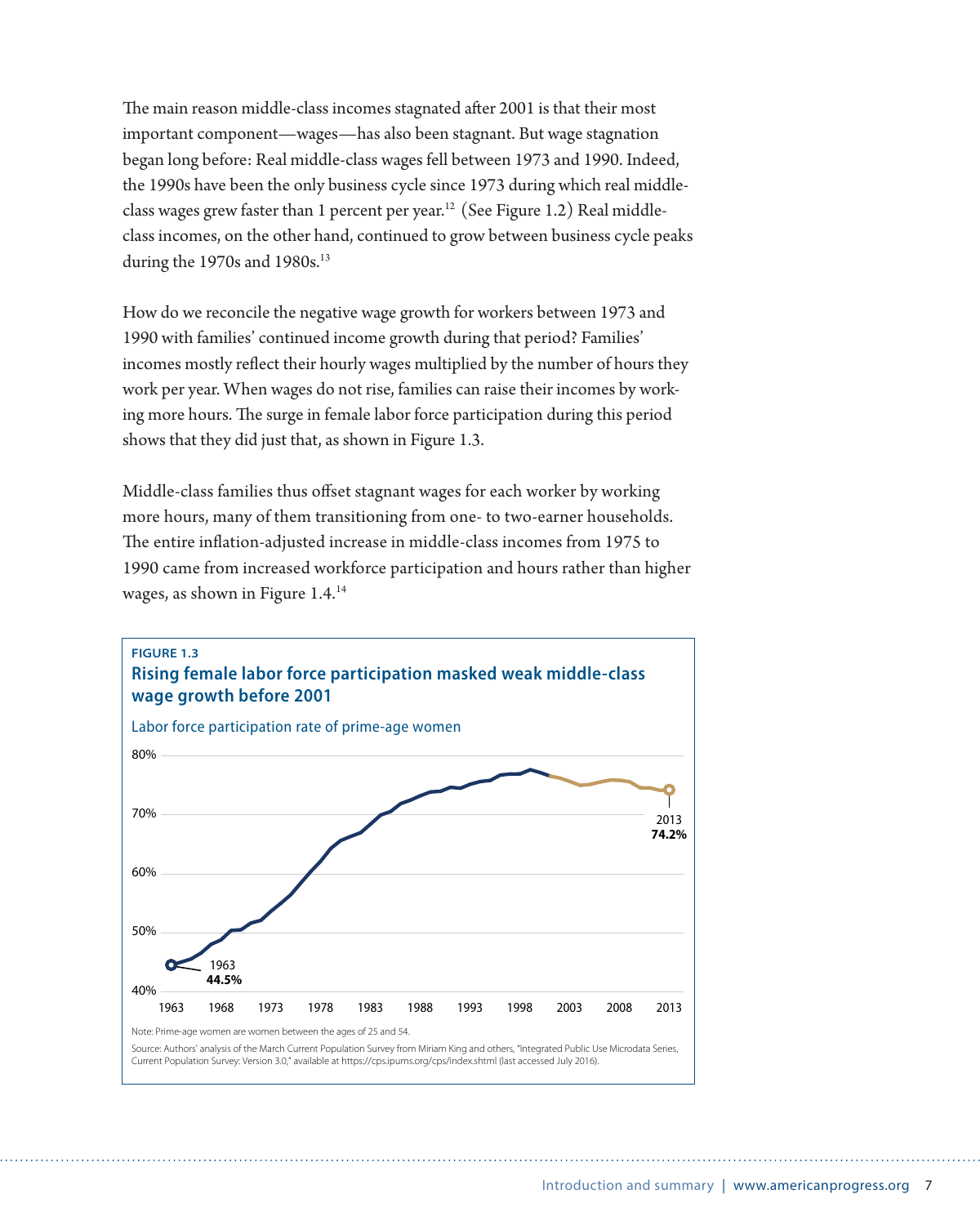The main reason middle-class incomes stagnated after 2001 is that their most important component—wages—has also been stagnant. But wage stagnation began long before: Real middle-class wages fell between 1973 and 1990. Indeed, the 1990s have been the only business cycle since 1973 during which real middleclass wages grew faster than 1 percent per year.<sup>12</sup> (See Figure 1.2) Real middleclass incomes, on the other hand, continued to grow between business cycle peaks during the 1970s and 1980s.<sup>13</sup>

How do we reconcile the negative wage growth for workers between 1973 and 1990 with families' continued income growth during that period? Families' incomes mostly reflect their hourly wages multiplied by the number of hours they work per year. When wages do not rise, families can raise their incomes by working more hours. The surge in female labor force participation during this period shows that they did just that, as shown in Figure 1.3.

Middle-class families thus offset stagnant wages for each worker by working more hours, many of them transitioning from one- to two-earner households. The entire inflation-adjusted increase in middle-class incomes from 1975 to 1990 came from increased workforce participation and hours rather than higher wages, as shown in Figure 1.4.14

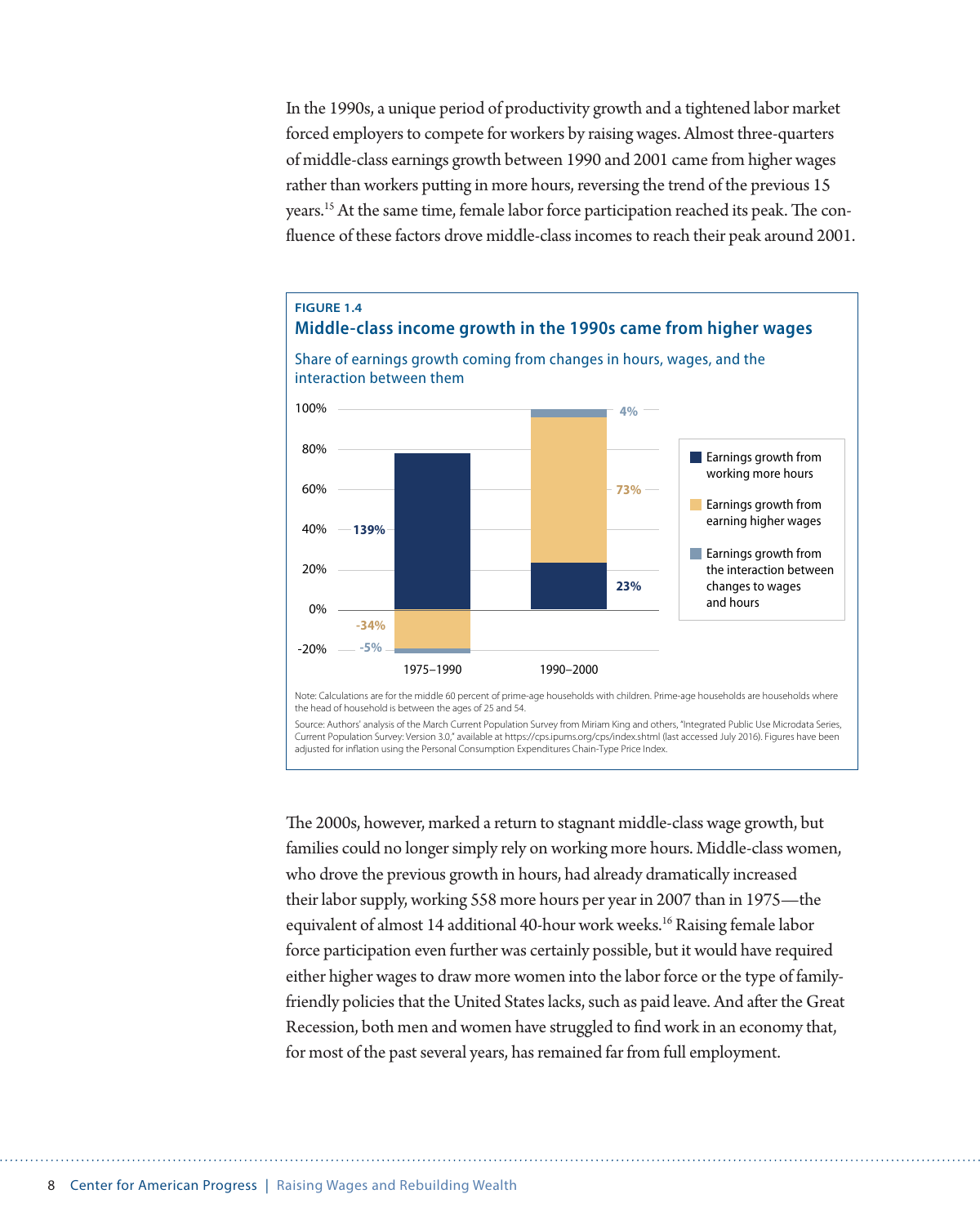In the 1990s, a unique period of productivity growth and a tightened labor market forced employers to compete for workers by raising wages. Almost three-quarters of middle-class earnings growth between 1990 and 2001 came from higher wages rather than workers putting in more hours, reversing the trend of the previous 15 years.15 At the same time, female labor force participation reached its peak. The confluence of these factors drove middle-class incomes to reach their peak around 2001.



The 2000s, however, marked a return to stagnant middle-class wage growth, but families could no longer simply rely on working more hours. Middle-class women, who drove the previous growth in hours, had already dramatically increased their labor supply, working 558 more hours per year in 2007 than in 1975—the equivalent of almost 14 additional 40-hour work weeks.<sup>16</sup> Raising female labor force participation even further was certainly possible, but it would have required either higher wages to draw more women into the labor force or the type of familyfriendly policies that the United States lacks, such as paid leave. And after the Great Recession, both men and women have struggled to find work in an economy that, for most of the past several years, has remained far from full employment.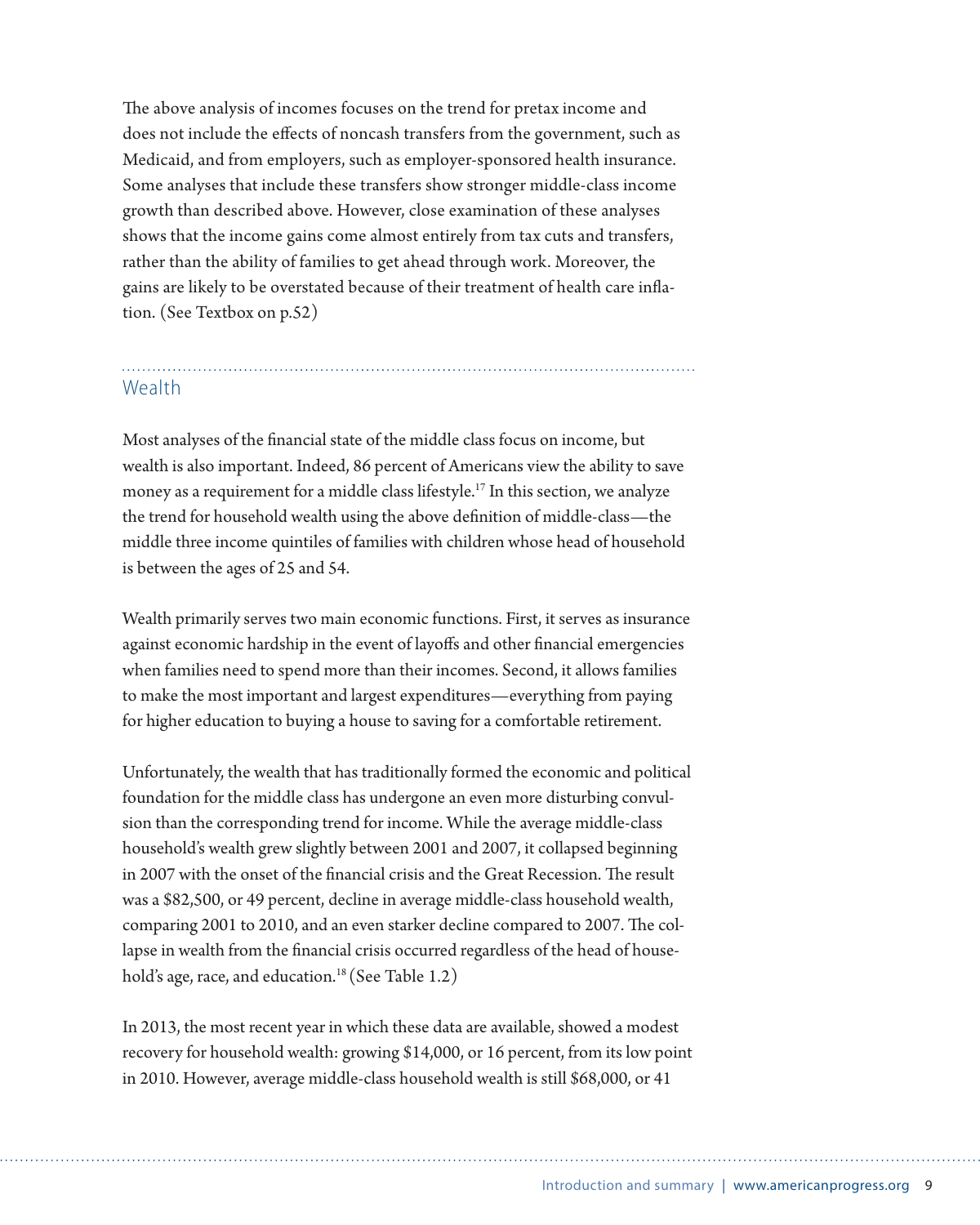The above analysis of incomes focuses on the trend for pretax income and does not include the effects of noncash transfers from the government, such as Medicaid, and from employers, such as employer-sponsored health insurance. Some analyses that include these transfers show stronger middle-class income growth than described above. However, close examination of these analyses shows that the income gains come almost entirely from tax cuts and transfers, rather than the ability of families to get ahead through work. Moreover, the gains are likely to be overstated because of their treatment of health care inflation. (See Textbox on p.52)

#### Wealth

Most analyses of the financial state of the middle class focus on income, but wealth is also important. Indeed, 86 percent of Americans view the ability to save money as a requirement for a middle class lifestyle.<sup>17</sup> In this section, we analyze the trend for household wealth using the above definition of middle-class—the middle three income quintiles of families with children whose head of household is between the ages of 25 and 54.

Wealth primarily serves two main economic functions. First, it serves as insurance against economic hardship in the event of layoffs and other financial emergencies when families need to spend more than their incomes. Second, it allows families to make the most important and largest expenditures—everything from paying for higher education to buying a house to saving for a comfortable retirement.

Unfortunately, the wealth that has traditionally formed the economic and political foundation for the middle class has undergone an even more disturbing convulsion than the corresponding trend for income. While the average middle-class household's wealth grew slightly between 2001 and 2007, it collapsed beginning in 2007 with the onset of the financial crisis and the Great Recession. The result was a \$82,500, or 49 percent, decline in average middle-class household wealth, comparing 2001 to 2010, and an even starker decline compared to 2007. The collapse in wealth from the financial crisis occurred regardless of the head of household's age, race, and education.<sup>18</sup> (See Table 1.2)

In 2013, the most recent year in which these data are available, showed a modest recovery for household wealth: growing \$14,000, or 16 percent, from its low point in 2010. However, average middle-class household wealth is still \$68,000, or 41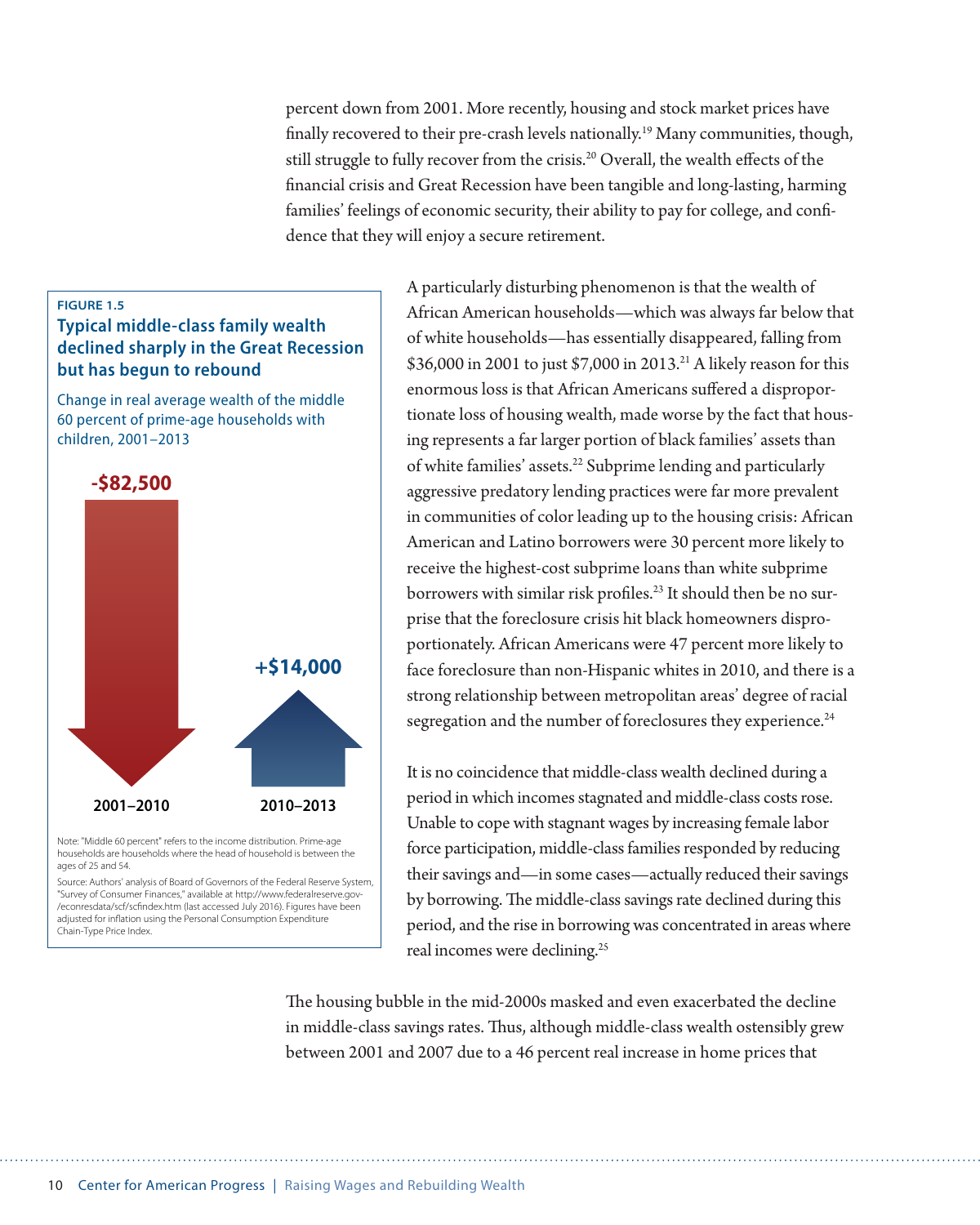percent down from 2001. More recently, housing and stock market prices have finally recovered to their pre-crash levels nationally.<sup>19</sup> Many communities, though, still struggle to fully recover from the crisis.<sup>20</sup> Overall, the wealth effects of the financial crisis and Great Recession have been tangible and long-lasting, harming families' feelings of economic security, their ability to pay for college, and confidence that they will enjoy a secure retirement.

#### **FIGURE 1.5 Typical middle-class family wealth declined sharply in the Great Recession but has begun to rebound**

Change in real average wealth of the middle 60 percent of prime-age households with children, 2001–2013



Note: "Middle 60 percent" refers to the income distribution. Prime-age households are households where the head of household is between the ages of 25 and 54.

Source: Authors' analysis of Board of Governors of the Federal Reserve System, "Survey of Consumer Finances," available at http://www.federalreserve.gov- /econresdata/scf/scfindex.htm (last accessed July 2016). Figures have been adjusted for inflation using the Personal Consumption Expenditure Chain-Type Price Index.

A particularly disturbing phenomenon is that the wealth of African American households—which was always far below that of white households—has essentially disappeared, falling from \$36,000 in 2001 to just \$7,000 in 2013.<sup>21</sup> A likely reason for this enormous loss is that African Americans suffered a disproportionate loss of housing wealth, made worse by the fact that housing represents a far larger portion of black families' assets than of white families' assets.<sup>22</sup> Subprime lending and particularly aggressive predatory lending practices were far more prevalent in communities of color leading up to the housing crisis: African American and Latino borrowers were 30 percent more likely to receive the highest-cost subprime loans than white subprime borrowers with similar risk profiles.<sup>23</sup> It should then be no surprise that the foreclosure crisis hit black homeowners disproportionately. African Americans were 47 percent more likely to face foreclosure than non-Hispanic whites in 2010, and there is a strong relationship between metropolitan areas' degree of racial segregation and the number of foreclosures they experience.<sup>24</sup>

It is no coincidence that middle-class wealth declined during a period in which incomes stagnated and middle-class costs rose. Unable to cope with stagnant wages by increasing female labor force participation, middle-class families responded by reducing their savings and—in some cases—actually reduced their savings by borrowing. The middle-class savings rate declined during this period, and the rise in borrowing was concentrated in areas where real incomes were declining.<sup>25</sup>

The housing bubble in the mid-2000s masked and even exacerbated the decline in middle-class savings rates. Thus, although middle-class wealth ostensibly grew between 2001 and 2007 due to a 46 percent real increase in home prices that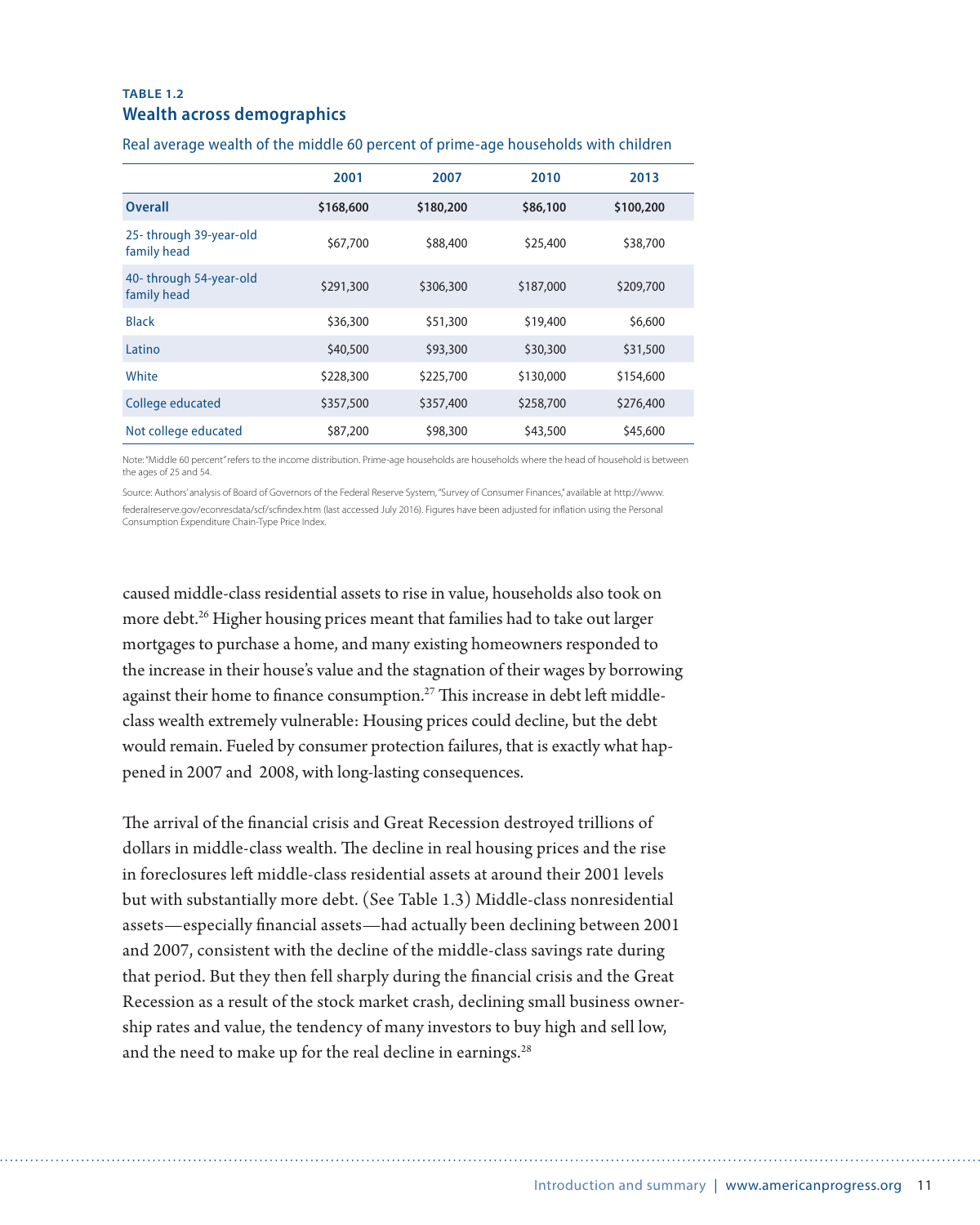#### **TABLE 1.2 Wealth across demographics**

|                                        | 2001      | 2007      | 2010      | 2013      |
|----------------------------------------|-----------|-----------|-----------|-----------|
| <b>Overall</b>                         | \$168,600 | \$180,200 | \$86,100  | \$100,200 |
| 25-through 39-year-old<br>family head  | \$67,700  | \$88,400  | \$25,400  | \$38,700  |
| 40- through 54-year-old<br>family head | \$291,300 | \$306,300 | \$187,000 | \$209,700 |
| <b>Black</b>                           | \$36,300  | \$51,300  | \$19,400  | \$6,600   |
| Latino                                 | \$40,500  | \$93,300  | \$30,300  | \$31,500  |
| White                                  | \$228,300 | \$225,700 | \$130,000 | \$154,600 |
| College educated                       | \$357,500 | \$357,400 | \$258,700 | \$276,400 |
| Not college educated                   | \$87,200  | \$98,300  | \$43,500  | \$45,600  |

Real average wealth of the middle 60 percent of prime-age households with children

Note: "Middle 60 percent" refers to the income distribution. Prime-age households are households where the head of household is between the ages of 25 and 54.

Source: Authors' analysis of Board of Governors of the Federal Reserve System, "Survey of Consumer Finances," available at http://www. federalreserve.gov/econresdata/scf/scfindex.htm (last accessed July 2016). Figures have been adjusted for inflation using the Personal Consumption Expenditure Chain-Type Price Index.

caused middle-class residential assets to rise in value, households also took on more debt.<sup>26</sup> Higher housing prices meant that families had to take out larger mortgages to purchase a home, and many existing homeowners responded to the increase in their house's value and the stagnation of their wages by borrowing against their home to finance consumption.<sup>27</sup> This increase in debt left middleclass wealth extremely vulnerable: Housing prices could decline, but the debt would remain. Fueled by consumer protection failures, that is exactly what happened in 2007 and 2008, with long-lasting consequences.

The arrival of the financial crisis and Great Recession destroyed trillions of dollars in middle-class wealth. The decline in real housing prices and the rise in foreclosures left middle-class residential assets at around their 2001 levels but with substantially more debt. (See Table 1.3) Middle-class nonresidential assets—especially financial assets—had actually been declining between 2001 and 2007, consistent with the decline of the middle-class savings rate during that period. But they then fell sharply during the financial crisis and the Great Recession as a result of the stock market crash, declining small business ownership rates and value, the tendency of many investors to buy high and sell low, and the need to make up for the real decline in earnings.<sup>28</sup>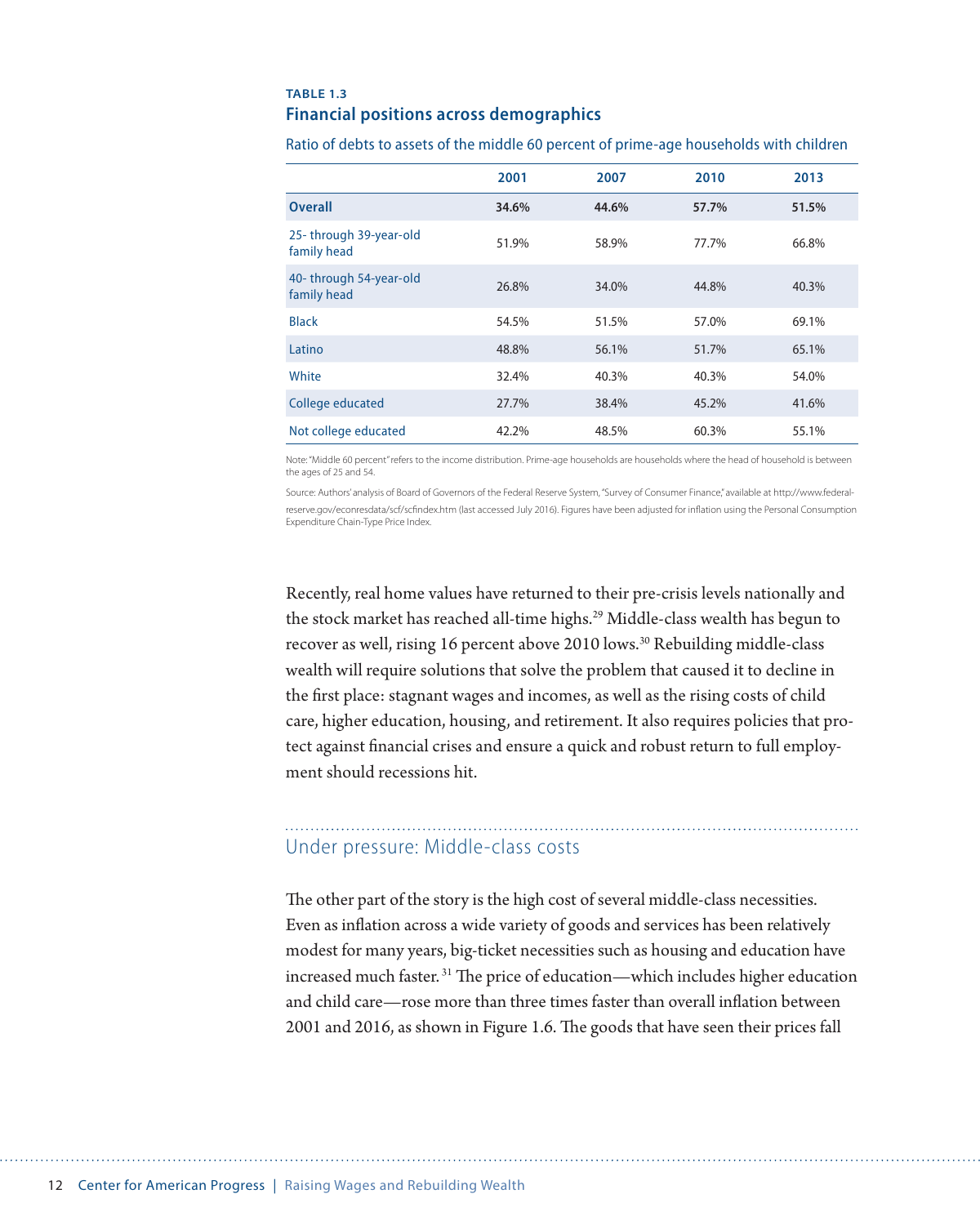#### **TABLE 1.3 Financial positions across demographics**

Ratio of debts to assets of the middle 60 percent of prime-age households with children

|                                        | 2001  | 2007  | 2010  | 2013  |
|----------------------------------------|-------|-------|-------|-------|
| <b>Overall</b>                         | 34.6% | 44.6% | 57.7% | 51.5% |
| 25-through 39-year-old<br>family head  | 51.9% | 58.9% | 77.7% | 66.8% |
| 40- through 54-year-old<br>family head | 26.8% | 34.0% | 44.8% | 40.3% |
| <b>Black</b>                           | 54.5% | 51.5% | 57.0% | 69.1% |
| Latino                                 | 48.8% | 56.1% | 51.7% | 65.1% |
| White                                  | 32.4% | 40.3% | 40.3% | 54.0% |
| College educated                       | 27.7% | 38.4% | 45.2% | 41.6% |
| Not college educated                   | 42.2% | 48.5% | 60.3% | 55.1% |

Note: "Middle 60 percent" refers to the income distribution. Prime-age households are households where the head of household is between the ages of 25 and 54.

Source: Authors' analysis of Board of Governors of the Federal Reserve System, "Survey of Consumer Finance," available at http://www.federalreserve.gov/econresdata/scf/scfindex.htm (last accessed July 2016). Figures have been adjusted for inflation using the Personal Consumption Expenditure Chain-Type Price Index.

Recently, real home values have returned to their pre-crisis levels nationally and the stock market has reached all-time highs.<sup>29</sup> Middle-class wealth has begun to recover as well, rising 16 percent above 2010 lows.<sup>30</sup> Rebuilding middle-class wealth will require solutions that solve the problem that caused it to decline in the first place: stagnant wages and incomes, as well as the rising costs of child care, higher education, housing, and retirement. It also requires policies that protect against financial crises and ensure a quick and robust return to full employment should recessions hit.

#### Under pressure: Middle-class costs

The other part of the story is the high cost of several middle-class necessities. Even as inflation across a wide variety of goods and services has been relatively modest for many years, big-ticket necessities such as housing and education have increased much faster. 31 The price of education—which includes higher education and child care—rose more than three times faster than overall inflation between 2001 and 2016, as shown in Figure 1.6. The goods that have seen their prices fall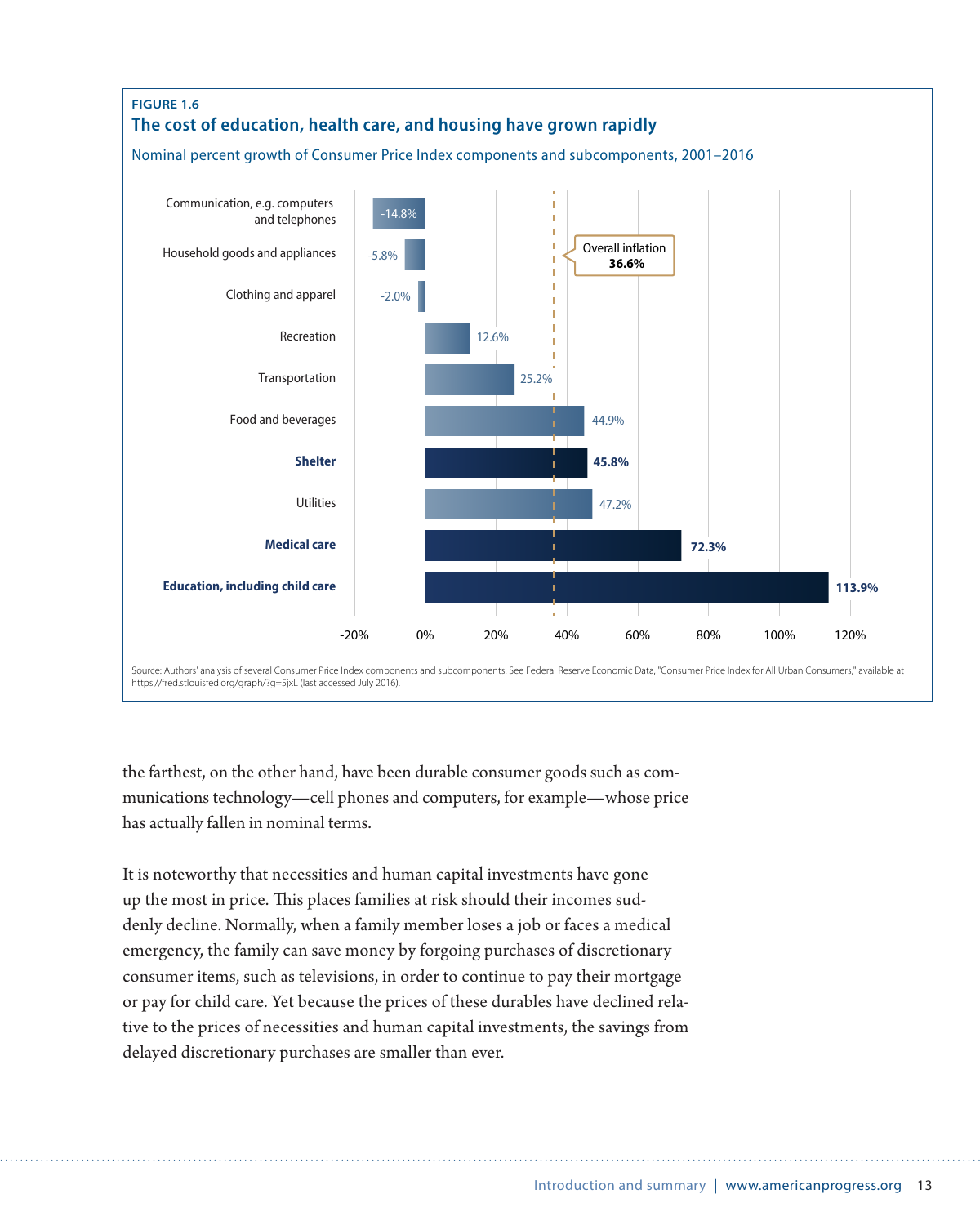

the farthest, on the other hand, have been durable consumer goods such as communications technology—cell phones and computers, for example—whose price has actually fallen in nominal terms.

It is noteworthy that necessities and human capital investments have gone up the most in price. This places families at risk should their incomes suddenly decline. Normally, when a family member loses a job or faces a medical emergency, the family can save money by forgoing purchases of discretionary consumer items, such as televisions, in order to continue to pay their mortgage or pay for child care. Yet because the prices of these durables have declined relative to the prices of necessities and human capital investments, the savings from delayed discretionary purchases are smaller than ever.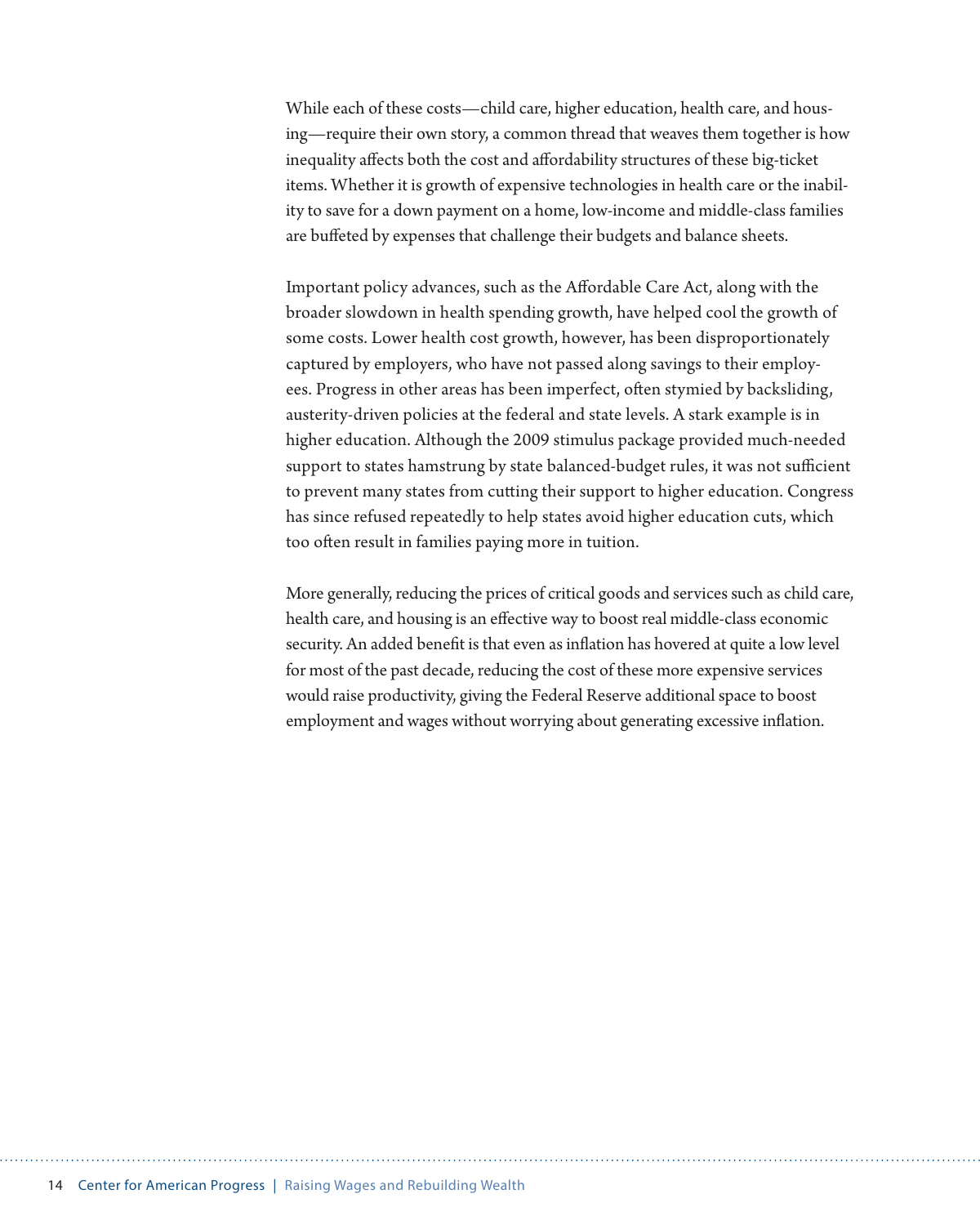While each of these costs—child care, higher education, health care, and housing—require their own story, a common thread that weaves them together is how inequality affects both the cost and affordability structures of these big-ticket items. Whether it is growth of expensive technologies in health care or the inability to save for a down payment on a home, low-income and middle-class families are buffeted by expenses that challenge their budgets and balance sheets.

Important policy advances, such as the Affordable Care Act, along with the broader slowdown in health spending growth, have helped cool the growth of some costs. Lower health cost growth, however, has been disproportionately captured by employers, who have not passed along savings to their employees. Progress in other areas has been imperfect, often stymied by backsliding, austerity-driven policies at the federal and state levels. A stark example is in higher education. Although the 2009 stimulus package provided much-needed support to states hamstrung by state balanced-budget rules, it was not sufficient to prevent many states from cutting their support to higher education. Congress has since refused repeatedly to help states avoid higher education cuts, which too often result in families paying more in tuition.

More generally, reducing the prices of critical goods and services such as child care, health care, and housing is an effective way to boost real middle-class economic security. An added benefit is that even as inflation has hovered at quite a low level for most of the past decade, reducing the cost of these more expensive services would raise productivity, giving the Federal Reserve additional space to boost employment and wages without worrying about generating excessive inflation.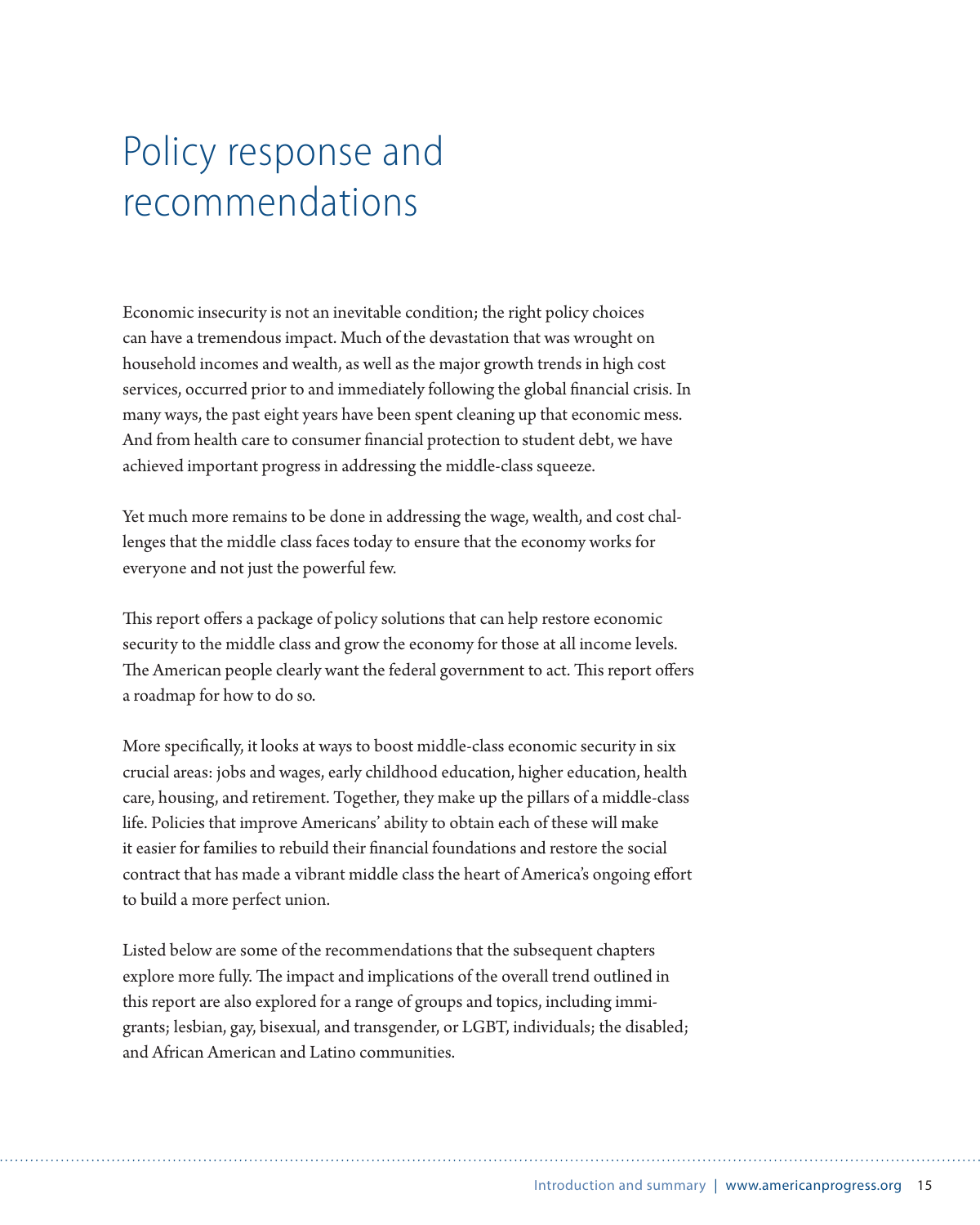# Policy response and recommendations

Economic insecurity is not an inevitable condition; the right policy choices can have a tremendous impact. Much of the devastation that was wrought on household incomes and wealth, as well as the major growth trends in high cost services, occurred prior to and immediately following the global financial crisis. In many ways, the past eight years have been spent cleaning up that economic mess. And from health care to consumer financial protection to student debt, we have achieved important progress in addressing the middle-class squeeze.

Yet much more remains to be done in addressing the wage, wealth, and cost challenges that the middle class faces today to ensure that the economy works for everyone and not just the powerful few.

This report offers a package of policy solutions that can help restore economic security to the middle class and grow the economy for those at all income levels. The American people clearly want the federal government to act. This report offers a roadmap for how to do so.

More specifically, it looks at ways to boost middle-class economic security in six crucial areas: jobs and wages, early childhood education, higher education, health care, housing, and retirement. Together, they make up the pillars of a middle-class life. Policies that improve Americans' ability to obtain each of these will make it easier for families to rebuild their financial foundations and restore the social contract that has made a vibrant middle class the heart of America's ongoing effort to build a more perfect union.

Listed below are some of the recommendations that the subsequent chapters explore more fully. The impact and implications of the overall trend outlined in this report are also explored for a range of groups and topics, including immigrants; lesbian, gay, bisexual, and transgender, or LGBT, individuals; the disabled; and African American and Latino communities.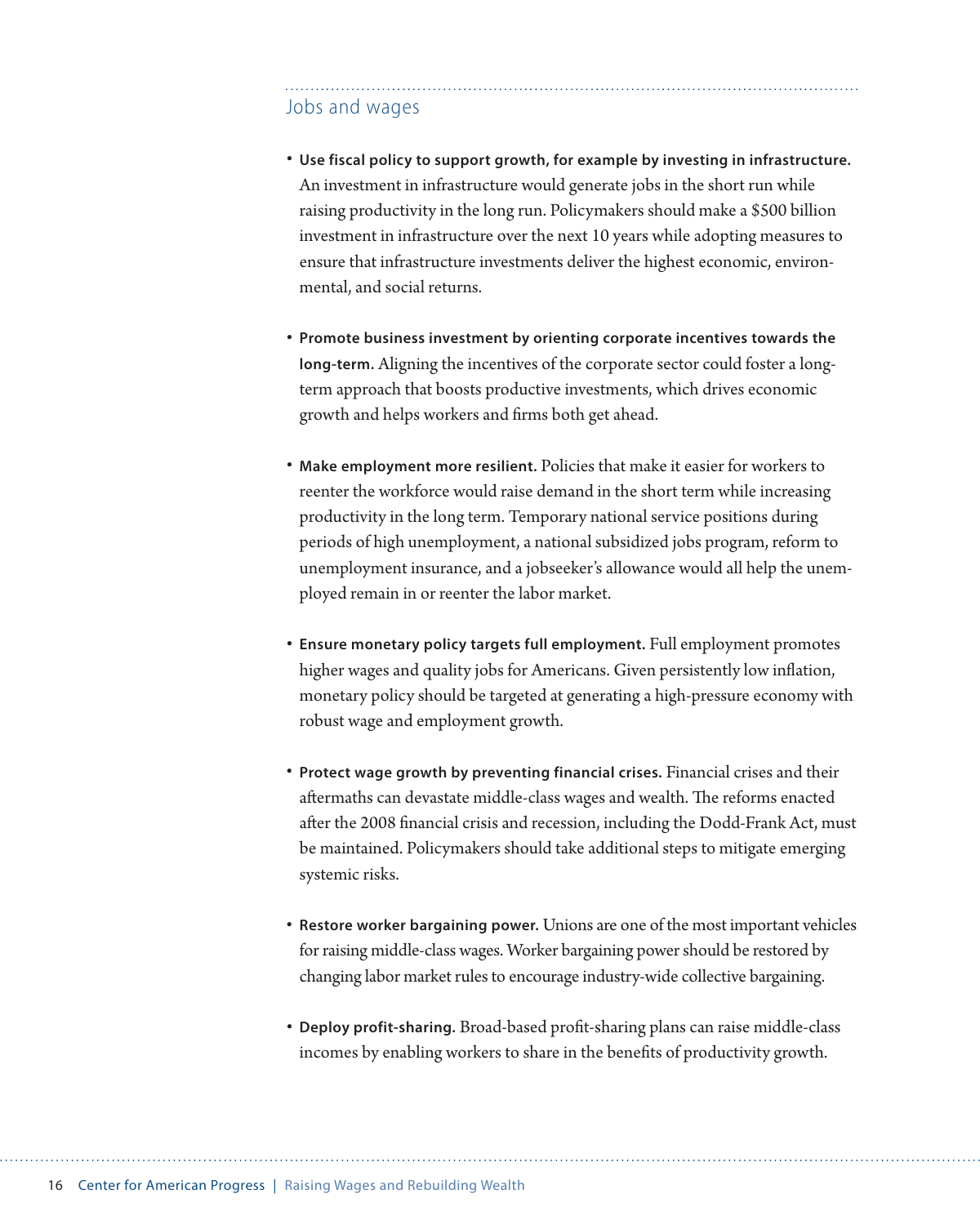#### Jobs and wages

- **Use fiscal policy to support growth, for example by investing in infrastructure.**  An investment in infrastructure would generate jobs in the short run while raising productivity in the long run. Policymakers should make a \$500 billion investment in infrastructure over the next 10 years while adopting measures to ensure that infrastructure investments deliver the highest economic, environmental, and social returns.
- **Promote business investment by orienting corporate incentives towards the long-term.** Aligning the incentives of the corporate sector could foster a longterm approach that boosts productive investments, which drives economic growth and helps workers and firms both get ahead.
- **Make employment more resilient.** Policies that make it easier for workers to reenter the workforce would raise demand in the short term while increasing productivity in the long term. Temporary national service positions during periods of high unemployment, a national subsidized jobs program, reform to unemployment insurance, and a jobseeker's allowance would all help the unemployed remain in or reenter the labor market.
- **Ensure monetary policy targets full employment.** Full employment promotes higher wages and quality jobs for Americans. Given persistently low inflation, monetary policy should be targeted at generating a high-pressure economy with robust wage and employment growth.
- **Protect wage growth by preventing financial crises.** Financial crises and their aftermaths can devastate middle-class wages and wealth. The reforms enacted after the 2008 financial crisis and recession, including the Dodd-Frank Act, must be maintained. Policymakers should take additional steps to mitigate emerging systemic risks.
- **Restore worker bargaining power.** Unions are one of the most important vehicles for raising middle-class wages. Worker bargaining power should be restored by changing labor market rules to encourage industry-wide collective bargaining.
- **Deploy profit-sharing.** Broad-based profit-sharing plans can raise middle-class incomes by enabling workers to share in the benefits of productivity growth.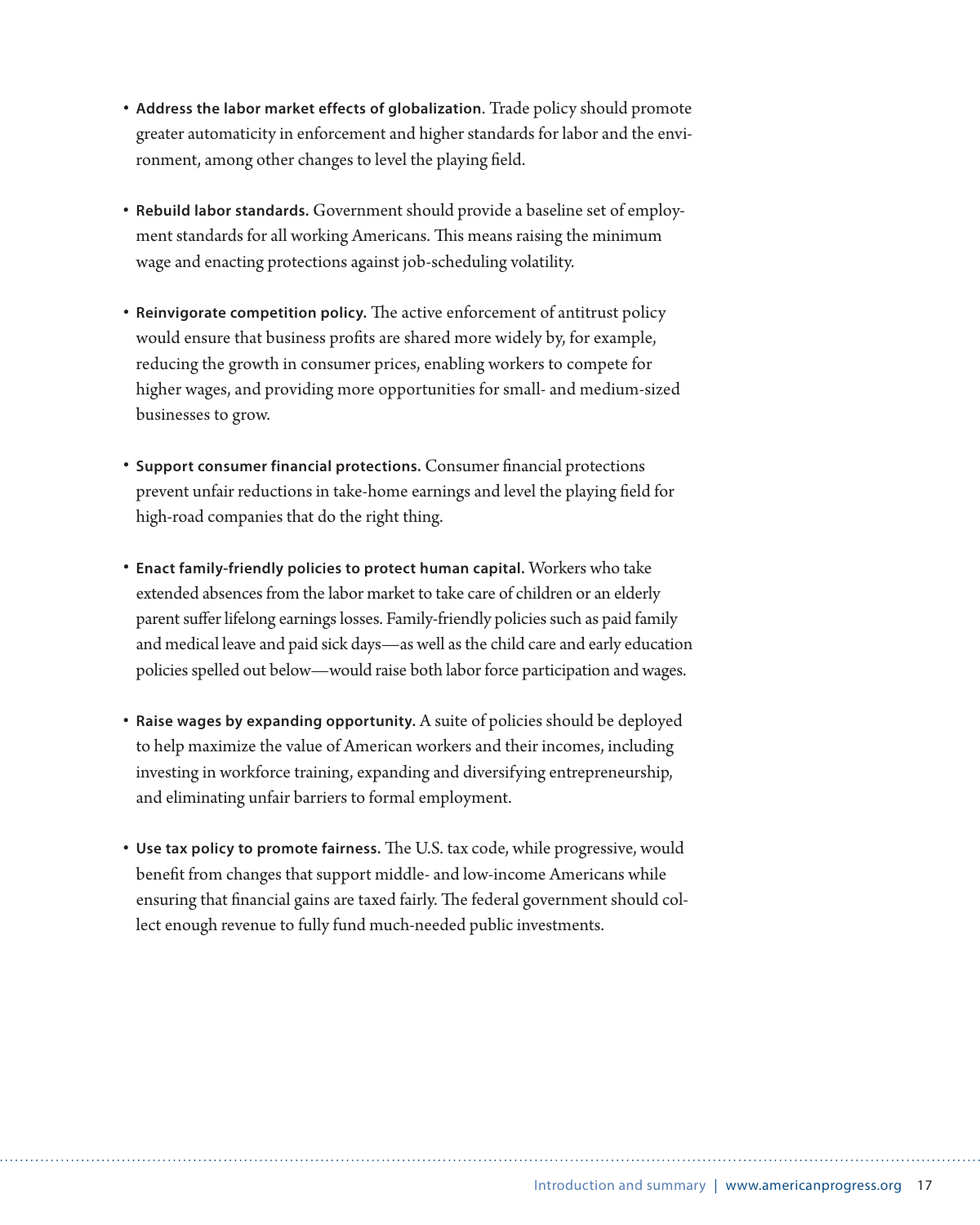- **Address the labor market effects of globalization**. Trade policy should promote greater automaticity in enforcement and higher standards for labor and the environment, among other changes to level the playing field.
- **Rebuild labor standards.** Government should provide a baseline set of employment standards for all working Americans. This means raising the minimum wage and enacting protections against job-scheduling volatility.
- **Reinvigorate competition policy.** The active enforcement of antitrust policy would ensure that business profits are shared more widely by, for example, reducing the growth in consumer prices, enabling workers to compete for higher wages, and providing more opportunities for small- and medium-sized businesses to grow.
- **Support consumer financial protections.** Consumer financial protections prevent unfair reductions in take-home earnings and level the playing field for high-road companies that do the right thing.
- **Enact family-friendly policies to protect human capital.** Workers who take extended absences from the labor market to take care of children or an elderly parent suffer lifelong earnings losses. Family-friendly policies such as paid family and medical leave and paid sick days—as well as the child care and early education policies spelled out below—would raise both labor force participation and wages.
- **Raise wages by expanding opportunity.** A suite of policies should be deployed to help maximize the value of American workers and their incomes, including investing in workforce training, expanding and diversifying entrepreneurship, and eliminating unfair barriers to formal employment.
- **Use tax policy to promote fairness.** The U.S. tax code, while progressive, would benefit from changes that support middle- and low-income Americans while ensuring that financial gains are taxed fairly. The federal government should collect enough revenue to fully fund much-needed public investments.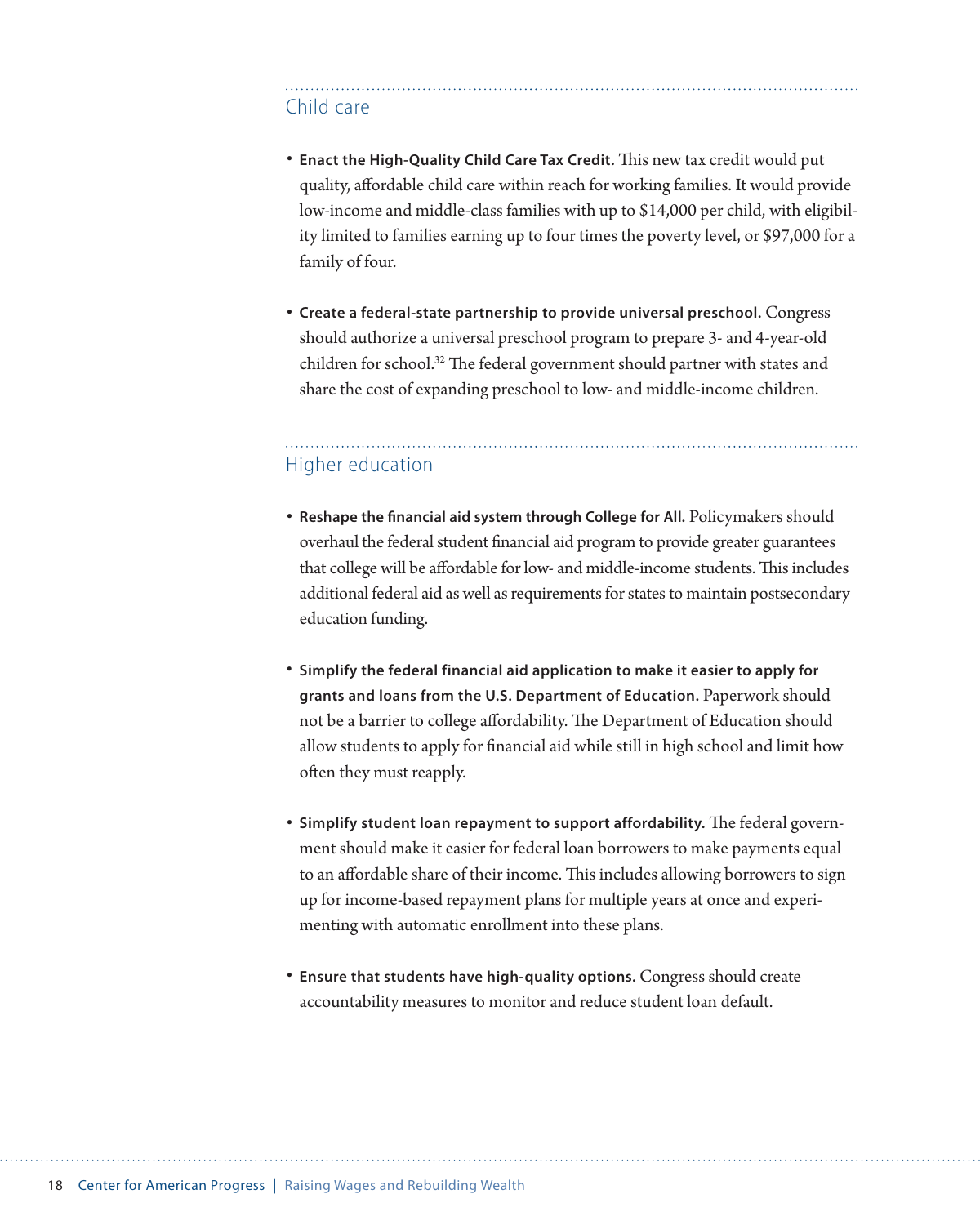#### Child care

- **Enact the High-Quality Child Care Tax Credit.** This new tax credit would put quality, affordable child care within reach for working families. It would provide low-income and middle-class families with up to \$14,000 per child, with eligibility limited to families earning up to four times the poverty level, or \$97,000 for a family of four.
- **Create a federal-state partnership to provide universal preschool.** Congress should authorize a universal preschool program to prepare 3- and 4-year-old children for school.<sup>32</sup> The federal government should partner with states and share the cost of expanding preschool to low- and middle-income children.

#### Higher education

- **Reshape the financial aid system through College for All.** Policymakers should overhaul the federal student financial aid program to provide greater guarantees that college will be affordable for low- and middle-income students. This includes additional federal aid as well as requirements for states to maintain postsecondary education funding.
- **Simplify the federal financial aid application to make it easier to apply for grants and loans from the U.S. Department of Education.** Paperwork should not be a barrier to college affordability. The Department of Education should allow students to apply for financial aid while still in high school and limit how often they must reapply.
- **Simplify student loan repayment to support affordability.** The federal government should make it easier for federal loan borrowers to make payments equal to an affordable share of their income. This includes allowing borrowers to sign up for income-based repayment plans for multiple years at once and experimenting with automatic enrollment into these plans.
- **Ensure that students have high-quality options.** Congress should create accountability measures to monitor and reduce student loan default.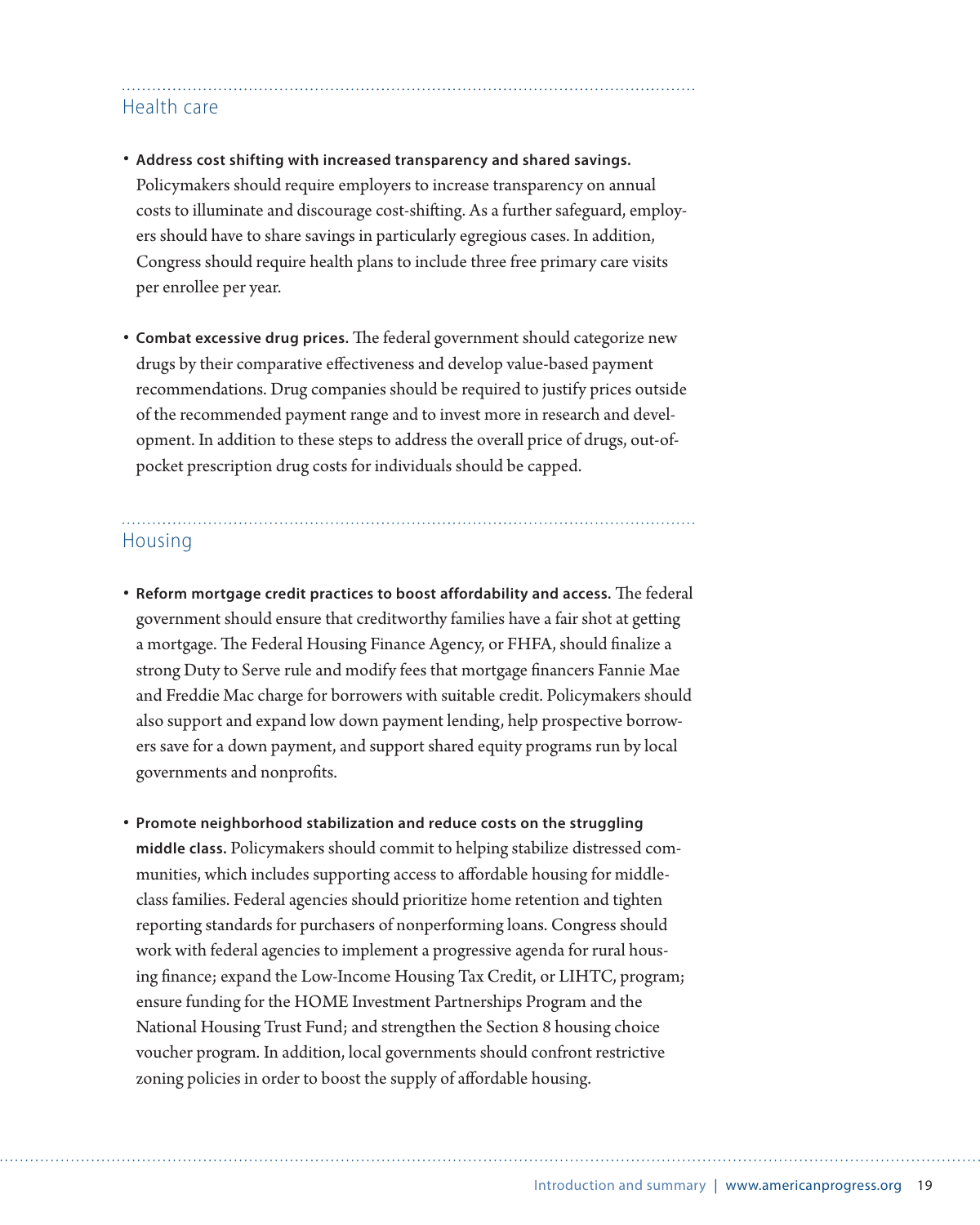## Health care

- **Address cost shifting with increased transparency and shared savings.**  Policymakers should require employers to increase transparency on annual costs to illuminate and discourage cost-shifting. As a further safeguard, employers should have to share savings in particularly egregious cases. In addition, Congress should require health plans to include three free primary care visits per enrollee per year.
- **Combat excessive drug prices.** The federal government should categorize new drugs by their comparative effectiveness and develop value-based payment recommendations. Drug companies should be required to justify prices outside of the recommended payment range and to invest more in research and development. In addition to these steps to address the overall price of drugs, out-ofpocket prescription drug costs for individuals should be capped.

# Housing

- **Reform mortgage credit practices to boost affordability and access.** The federal government should ensure that creditworthy families have a fair shot at getting a mortgage. The Federal Housing Finance Agency, or FHFA, should finalize a strong Duty to Serve rule and modify fees that mortgage financers Fannie Mae and Freddie Mac charge for borrowers with suitable credit. Policymakers should also support and expand low down payment lending, help prospective borrowers save for a down payment, and support shared equity programs run by local governments and nonprofits.
- **Promote neighborhood stabilization and reduce costs on the struggling middle class.** Policymakers should commit to helping stabilize distressed communities, which includes supporting access to affordable housing for middleclass families. Federal agencies should prioritize home retention and tighten reporting standards for purchasers of nonperforming loans. Congress should work with federal agencies to implement a progressive agenda for rural housing finance; expand the Low-Income Housing Tax Credit, or LIHTC, program; ensure funding for the HOME Investment Partnerships Program and the National Housing Trust Fund; and strengthen the Section 8 housing choice voucher program. In addition, local governments should confront restrictive zoning policies in order to boost the supply of affordable housing.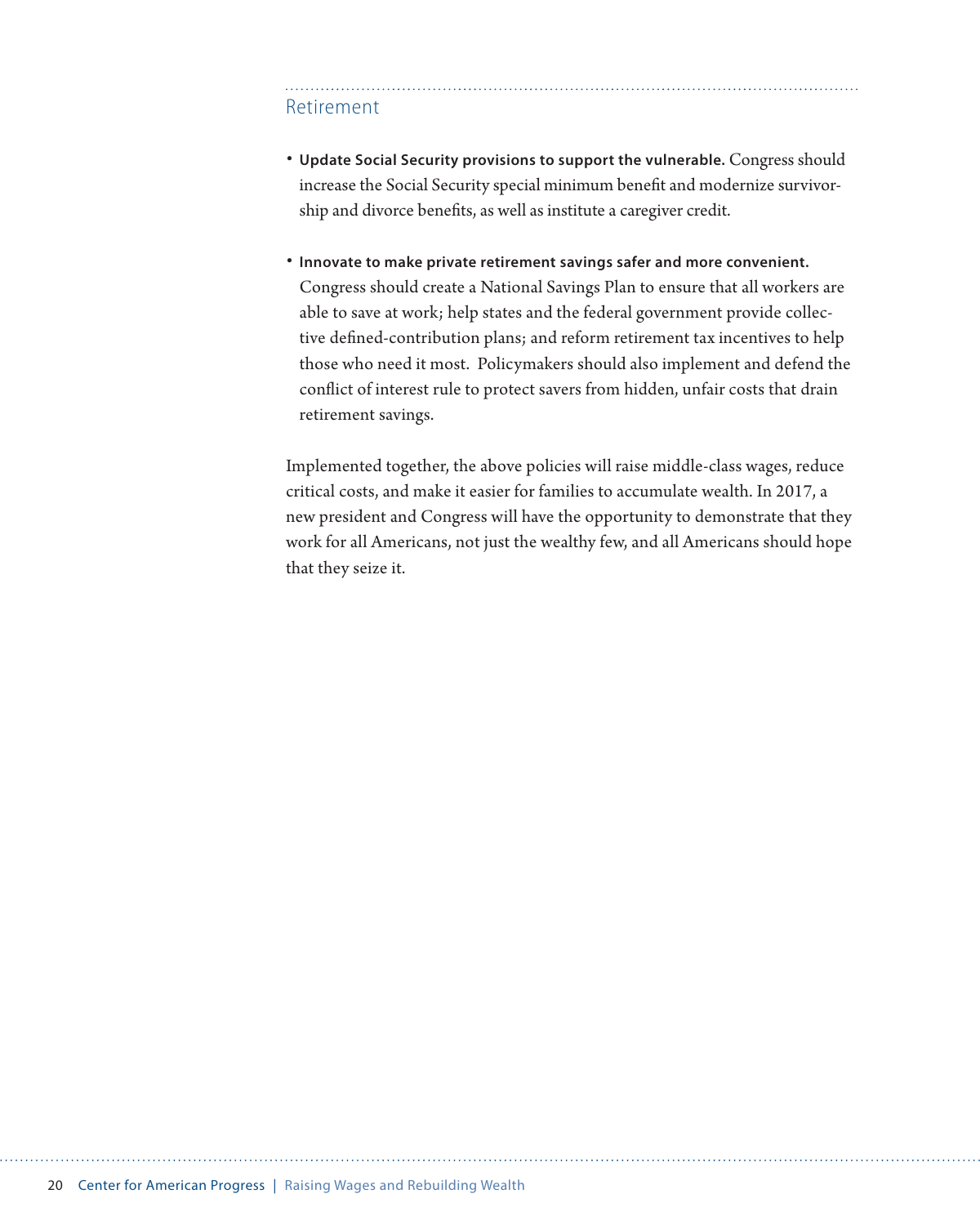### Retirement

- **Update Social Security provisions to support the vulnerable.** Congress should increase the Social Security special minimum benefit and modernize survivorship and divorce benefits, as well as institute a caregiver credit.
- **Innovate to make private retirement savings safer and more convenient.**  Congress should create a National Savings Plan to ensure that all workers are able to save at work; help states and the federal government provide collective defined-contribution plans; and reform retirement tax incentives to help those who need it most. Policymakers should also implement and defend the conflict of interest rule to protect savers from hidden, unfair costs that drain retirement savings.

Implemented together, the above policies will raise middle-class wages, reduce critical costs, and make it easier for families to accumulate wealth. In 2017, a new president and Congress will have the opportunity to demonstrate that they work for all Americans, not just the wealthy few, and all Americans should hope that they seize it.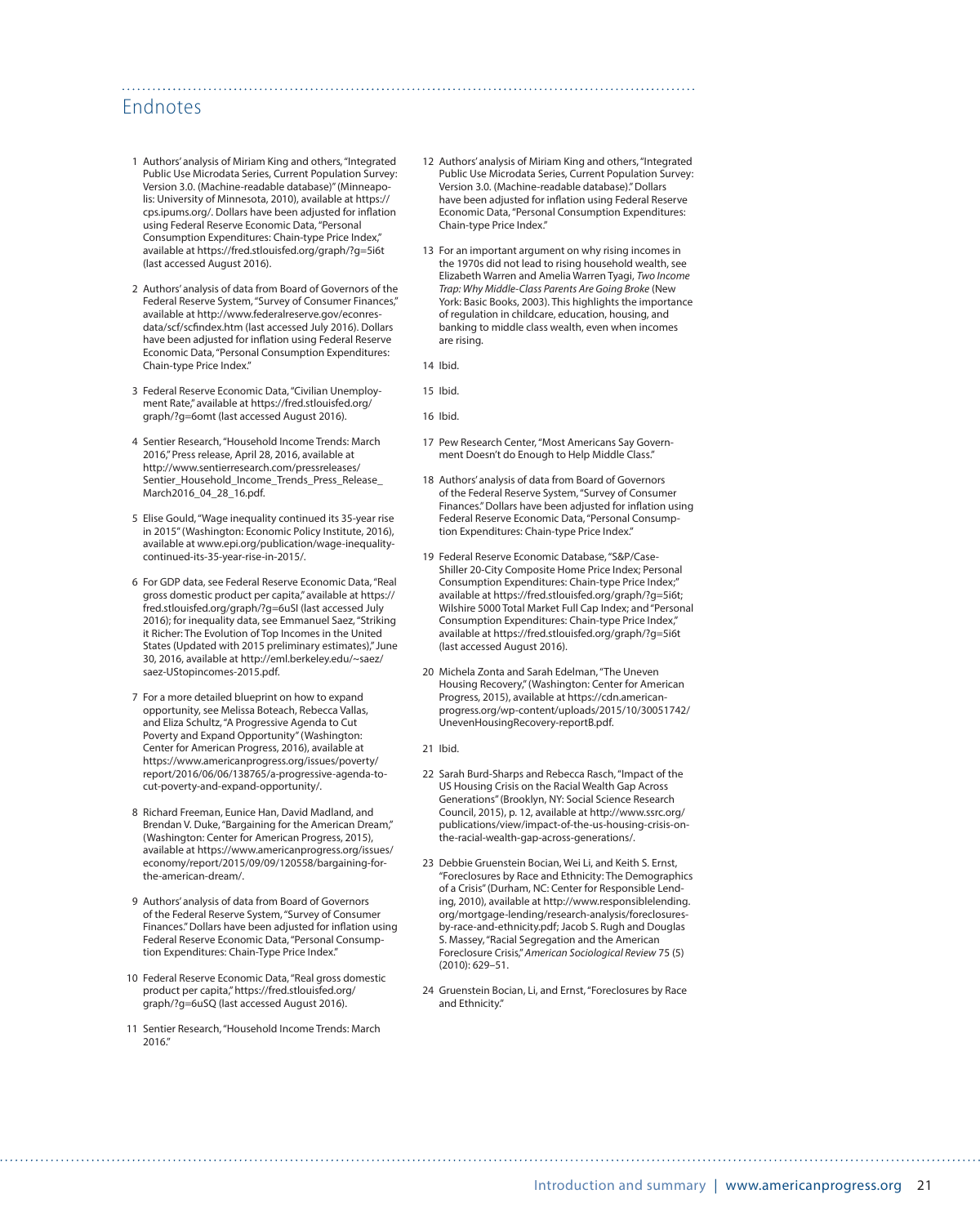#### Endnotes

- 1 Authors' analysis of Miriam King and others, "Integrated Public Use Microdata Series, Current Population Survey: Version 3.0. (Machine-readable database)" (Minneapolis: University of Minnesota, 2010), available at [https://](https://cps.ipums.org/) [cps.ipums.org/](https://cps.ipums.org/). Dollars have been adjusted for inflation using Federal Reserve Economic Data, "Personal Consumption Expenditures: Chain-type Price Index," available at<https://fred.stlouisfed.org/graph/?g=5i6t> (last accessed August 2016).
- 2 Authors' analysis of data from Board of Governors of the Federal Reserve System, "Survey of Consumer Finances," available at http://www.federalreserve.gov/econresdata/scf/scfindex.htm (last accessed July 2016). Dollars have been adjusted for inflation using Federal Reserve Economic Data, "Personal Consumption Expenditures: Chain-type Price Index."
- 3 Federal Reserve Economic Data, "Civilian Unemployment Rate," available at [https://fred.stlouisfed.org/](https://fred.stlouisfed.org/graph/?g=6omt) [graph/?g=6omt](https://fred.stlouisfed.org/graph/?g=6omt) (last accessed August 2016).
- 4 Sentier Research, "Household Income Trends: March 2016," Press release, April 28, 2016, available at [http://www.sentierresearch.com/pressreleases/](http://www.sentierresearch.com/pressreleases/Sentier_Household_Income_Trends_Press_Release_March2016_04_28_16.pdf) [Sentier\\_Household\\_Income\\_Trends\\_Press\\_Release\\_](http://www.sentierresearch.com/pressreleases/Sentier_Household_Income_Trends_Press_Release_March2016_04_28_16.pdf) [March2016\\_04\\_28\\_16.pdf](http://www.sentierresearch.com/pressreleases/Sentier_Household_Income_Trends_Press_Release_March2016_04_28_16.pdf).
- 5 Elise Gould, "Wage inequality continued its 35-year rise in 2015" (Washington: Economic Policy Institute, 2016), available at [www.epi.org/publication/wage-inequality](http://www.epi.org/publication/wage-inequality-continued-its-35-year-rise-in-2015/)[continued-its-35-year-rise-in-2015/.](http://www.epi.org/publication/wage-inequality-continued-its-35-year-rise-in-2015/)
- 6 For GDP data, see Federal Reserve Economic Data, "Real gross domestic product per capita," available at [https://](https://fred.stlouisfed.org/graph/?g=6uSI) [fred.stlouisfed.org/graph/?g=6uSI](https://fred.stlouisfed.org/graph/?g=6uSI) (last accessed July 2016); for inequality data, see Emmanuel Saez, "Striking it Richer: The Evolution of Top Incomes in the United States (Updated with 2015 preliminary estimates)," June 30, 2016, available at [http://eml.berkeley.edu/~saez/](http://eml.berkeley.edu/~saez/saez-UStopincomes-2015.pdf) [saez-UStopincomes-2015.pdf](http://eml.berkeley.edu/~saez/saez-UStopincomes-2015.pdf).
- 7 For a more detailed blueprint on how to expand opportunity, see Melissa Boteach, Rebecca Vallas, and Eliza Schultz, "A Progressive Agenda to Cut Poverty and Expand Opportunity" (Washington: Center for American Progress, 2016), available at [https://www.americanprogress.org/issues/poverty/](https://www.americanprogress.org/issues/poverty/report/2016/06/06/138765/a-progressive-agenda-to-cut-poverty-and-expand-opportunity/) [report/2016/06/06/138765/a-progressive-agenda-to](https://www.americanprogress.org/issues/poverty/report/2016/06/06/138765/a-progressive-agenda-to-cut-poverty-and-expand-opportunity/)[cut-poverty-and-expand-opportunity/.](https://www.americanprogress.org/issues/poverty/report/2016/06/06/138765/a-progressive-agenda-to-cut-poverty-and-expand-opportunity/)
- 8 Richard Freeman, Eunice Han, David Madland, and Brendan V. Duke, "Bargaining for the American Dream," (Washington: Center for American Progress, 2015), available at [https://www.americanprogress.org/issues/](https://www.americanprogress.org/issues/economy/report/2015/09/09/120558/bargaining-for-the-american-dream/) [economy/report/2015/09/09/120558/bargaining-for](https://www.americanprogress.org/issues/economy/report/2015/09/09/120558/bargaining-for-the-american-dream/)[the-american-dream/](https://www.americanprogress.org/issues/economy/report/2015/09/09/120558/bargaining-for-the-american-dream/).
- 9 Authors' analysis of data from Board of Governors of the Federal Reserve System, "Survey of Consumer Finances." Dollars have been adjusted for inflation using Federal Reserve Economic Data, "Personal Consumption Expenditures: Chain-Type Price Index."
- 10 Federal Reserve Economic Data, "Real gross domestic product per capita," [https://fred.stlouisfed.org/](https://fred.stlouisfed.org/graph/?g=6uSQ) [graph/?g=6uSQ](https://fred.stlouisfed.org/graph/?g=6uSQ) (last accessed August 2016).
- 11 Sentier Research, "Household Income Trends: March 2016."

12 Authors' analysis of Miriam King and others, "Integrated Public Use Microdata Series, Current Population Survey: Version 3.0. (Machine-readable database)." Dollars have been adjusted for inflation using Federal Reserve Economic Data, "Personal Consumption Expenditures: Chain-type Price Index."

- 13 For an important argument on why rising incomes in the 1970s did not lead to rising household wealth, see Elizabeth Warren and Amelia Warren Tyagi, *Two Income Trap: Why Middle-Class Parents Are Going Broke* (New York: Basic Books, 2003). This highlights the importance of regulation in childcare, education, housing, and banking to middle class wealth, even when incomes are rising.
- 14 Ibid.
- 15 Ibid.
- 16 Ibid.
- 17 Pew Research Center, "Most Americans Say Government Doesn't do Enough to Help Middle Class."
- 18 Authors' analysis of data from Board of Governors of the Federal Reserve System, "Survey of Consumer Finances." Dollars have been adjusted for inflation using Federal Reserve Economic Data, "Personal Consumption Expenditures: Chain-type Price Index."
- 19 Federal Reserve Economic Database, "S&P/Case-Shiller 20-City Composite Home Price Index; Personal Consumption Expenditures: Chain-type Price Index;" available at<https://fred.stlouisfed.org/graph/?g=5i6t>; Wilshire 5000 Total Market Full Cap Index; and "Personal Consumption Expenditures: Chain-type Price Index," available at<https://fred.stlouisfed.org/graph/?g=5i6t> (last accessed August 2016).
- 20 Michela Zonta and Sarah Edelman, "The Uneven Housing Recovery," (Washington: Center for American Progress, 2015), available at [https://cdn.american](https://cdn.americanprogress.org/wp-content/uploads/2015/10/30051742/UnevenHousingRecovery-reportB.pdf)[progress.org/wp-content/uploads/2015/10/30051742/](https://cdn.americanprogress.org/wp-content/uploads/2015/10/30051742/UnevenHousingRecovery-reportB.pdf) [UnevenHousingRecovery-reportB.pdf](https://cdn.americanprogress.org/wp-content/uploads/2015/10/30051742/UnevenHousingRecovery-reportB.pdf).
- 21 Ibid.
- 22 Sarah Burd-Sharps and Rebecca Rasch, "Impact of the US Housing Crisis on the Racial Wealth Gap Across Generations" (Brooklyn, NY: Social Science Research Council, 2015), p. 12, available at [http://www.ssrc.org/](http://www.ssrc.org/publications/view/impact-of-the-us-housing-crisis-on-the-racial-wealth-gap-across-generations/) [publications/view/impact-of-the-us-housing-crisis-on](http://www.ssrc.org/publications/view/impact-of-the-us-housing-crisis-on-the-racial-wealth-gap-across-generations/)[the-racial-wealth-gap-across-generations/](http://www.ssrc.org/publications/view/impact-of-the-us-housing-crisis-on-the-racial-wealth-gap-across-generations/).
- 23 Debbie Gruenstein Bocian, Wei Li, and Keith S. Ernst, "Foreclosures by Race and Ethnicity: The Demographics of a Crisis" (Durham, NC: Center for Responsible Lending, 2010), available at [http://www.responsiblelending.](http://www.responsiblelending.org/mortgage-lending/research-analysis/foreclosures-by-race-and-ethnicity.pdf) [org/mortgage-lending/research-analysis/foreclosures](http://www.responsiblelending.org/mortgage-lending/research-analysis/foreclosures-by-race-and-ethnicity.pdf)[by-race-and-ethnicity.pdf](http://www.responsiblelending.org/mortgage-lending/research-analysis/foreclosures-by-race-and-ethnicity.pdf); Jacob S. Rugh and Douglas S. Massey, "Racial Segregation and the American Foreclosure Crisis," *American Sociological Review* 75 (5) (2010): 629–51.
- 24 Gruenstein Bocian, Li, and Ernst, "Foreclosures by Race and Ethnicity."